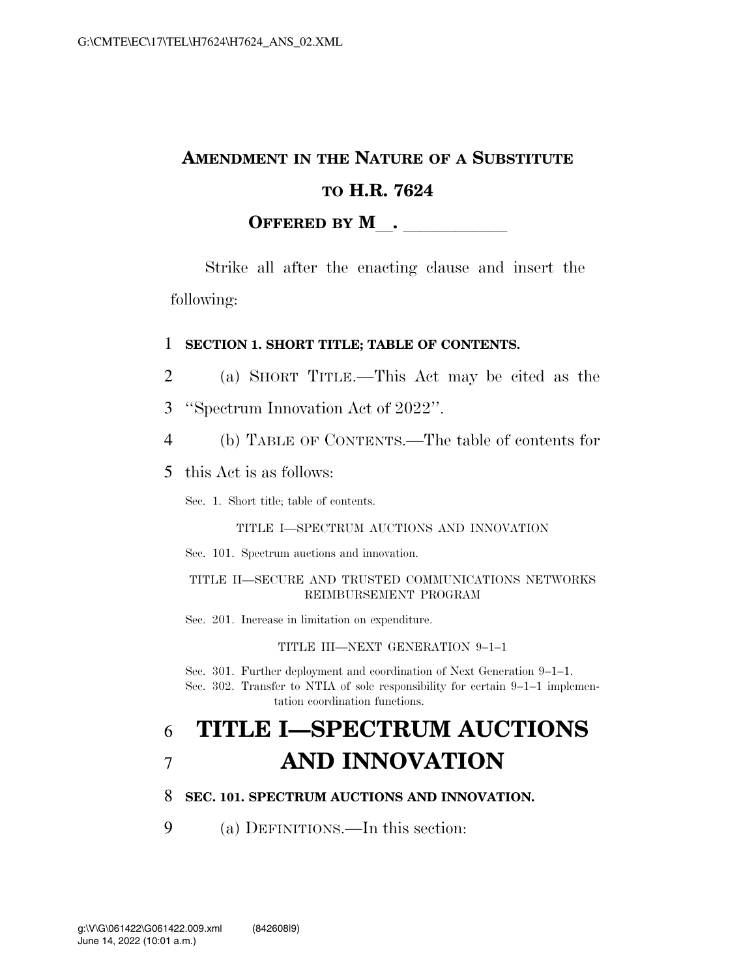### **AMENDMENT IN THE NATURE OF A SUBSTITUTE TO H.R. 7624 OFFERED BY M**.

Strike all after the enacting clause and insert the following:

#### 1 **SECTION 1. SHORT TITLE; TABLE OF CONTENTS.**

- 2 (a) SHORT TITLE.—This Act may be cited as the
- 3 ''Spectrum Innovation Act of 2022''.
- 4 (b) TABLE OF CONTENTS.—The table of contents for
- 5 this Act is as follows:

Sec. 1. Short title; table of contents.

#### TITLE I—SPECTRUM AUCTIONS AND INNOVATION

Sec. 101. Spectrum auctions and innovation.

#### TITLE II—SECURE AND TRUSTED COMMUNICATIONS NETWORKS REIMBURSEMENT PROGRAM

Sec. 201. Increase in limitation on expenditure.

TITLE III—NEXT GENERATION 9–1–1

Sec. 301. Further deployment and coordination of Next Generation 9–1–1. Sec. 302. Transfer to NTIA of sole responsibility for certain 9–1–1 implementation coordination functions.

## 6 **TITLE I—SPECTRUM AUCTIONS**  7 **AND INNOVATION**

### 8 **SEC. 101. SPECTRUM AUCTIONS AND INNOVATION.**

9 (a) DEFINITIONS.—In this section: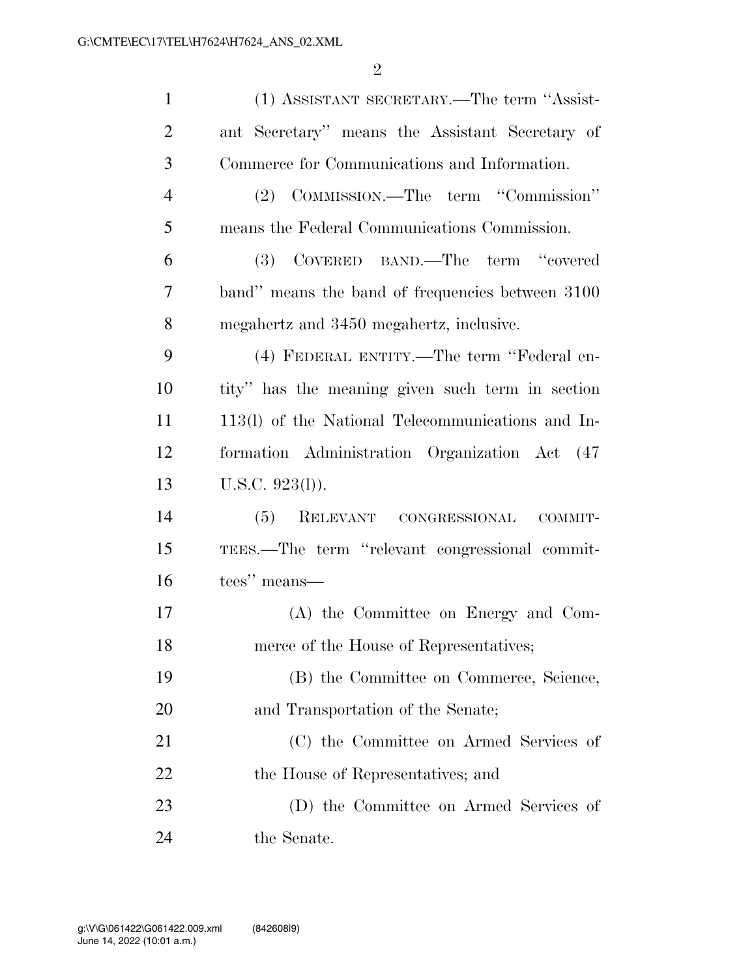| $\mathbf{1}$   | (1) ASSISTANT SECRETARY.—The term "Assist-        |
|----------------|---------------------------------------------------|
| $\overline{2}$ | ant Secretary" means the Assistant Secretary of   |
| 3              | Commerce for Communications and Information.      |
| $\overline{4}$ | (2) COMMISSION.—The term "Commission"             |
| 5              | means the Federal Communications Commission.      |
| 6              | (3) COVERED BAND.—The term "covered               |
| 7              | band" means the band of frequencies between 3100  |
| 8              | megahertz and 3450 megahertz, inclusive.          |
| 9              | (4) FEDERAL ENTITY.—The term "Federal en-         |
| 10             | tity" has the meaning given such term in section  |
| 11             | 113(1) of the National Telecommunications and In- |
| 12             | formation Administration Organization Act (47     |
| 13             | $U.S.C. 923(l)$ ).                                |
| 14             | (5)<br>RELEVANT CONGRESSIONAL<br>COMMIT-          |
| 15             | TEES.—The term "relevant congressional commit-    |
| 16             | tees" means—                                      |
| 17             | (A) the Committee on Energy and Com-              |
| 18             | merce of the House of Representatives;            |
| 19             | (B) the Committee on Commerce, Science,           |
| 20             | and Transportation of the Senate;                 |
| 21             | (C) the Committee on Armed Services of            |
| 22             | the House of Representatives; and                 |
| 23             | (D) the Committee on Armed Services of            |
| 24             | the Senate.                                       |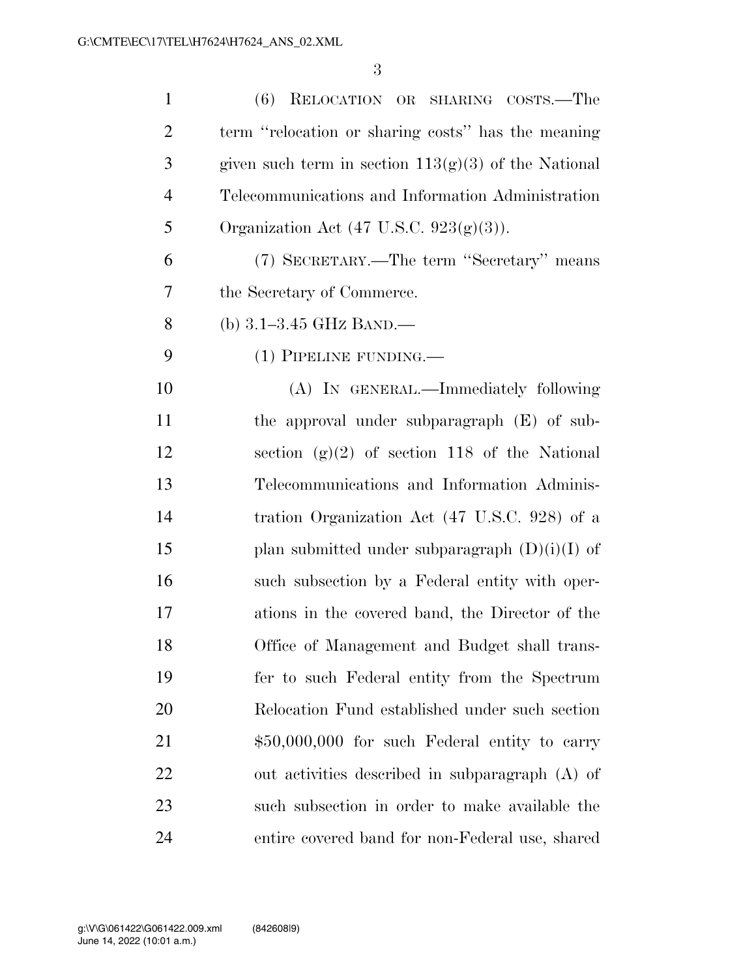| $\mathbf{1}$   | RELOCATION OR SHARING COSTS.—The<br>(6)                |
|----------------|--------------------------------------------------------|
| $\overline{2}$ | term "relocation or sharing costs" has the meaning     |
| 3              | given such term in section $113(g)(3)$ of the National |
| $\overline{4}$ | Telecommunications and Information Administration      |
| 5              | Organization Act $(47 \text{ U.S.C. } 923(g)(3)).$     |
| 6              | (7) SECRETARY.—The term "Secretary" means              |
| 7              | the Secretary of Commerce.                             |
| 8              | (b) $3.1 - 3.45$ GHz BAND.—                            |
| 9              | (1) PIPELINE FUNDING.—                                 |
| 10             | (A) IN GENERAL.—Immediately following                  |
| 11             | the approval under subparagraph (E) of sub-            |
| 12             | section $(g)(2)$ of section 118 of the National        |
| 13             | Telecommunications and Information Adminis-            |
| 14             | tration Organization Act (47 U.S.C. 928) of a          |
| 15             | plan submitted under subparagraph $(D)(i)(I)$ of       |
| 16             | such subsection by a Federal entity with oper-         |
| 17             | ations in the covered band, the Director of the        |
| 18             | Office of Management and Budget shall trans-           |
| 19             | fer to such Federal entity from the Spectrum           |
| 20             | Relocation Fund established under such section         |
| 21             | $$50,000,000$ for such Federal entity to carry         |
| 22             | out activities described in subparagraph (A) of        |
| 23             | such subsection in order to make available the         |
| 24             | entire covered band for non-Federal use, shared        |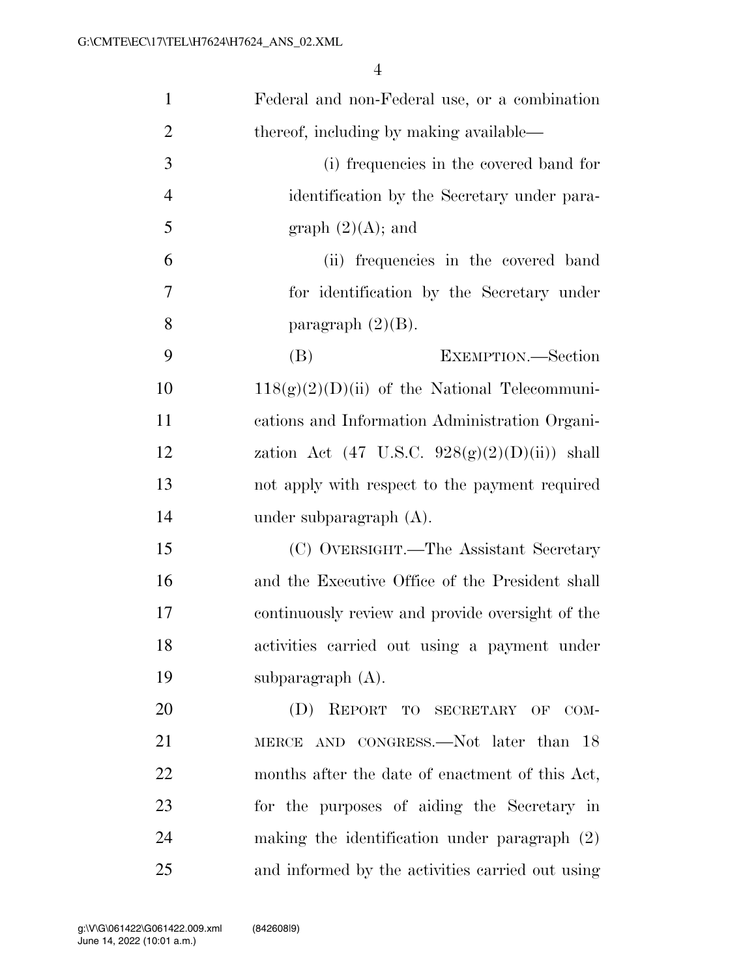| $\mathbf{1}$   | Federal and non-Federal use, or a combination            |
|----------------|----------------------------------------------------------|
| $\overline{2}$ | thereof, including by making available—                  |
| 3              | (i) frequencies in the covered band for                  |
| $\overline{4}$ | identification by the Secretary under para-              |
| 5              | graph $(2)(A)$ ; and                                     |
| 6              | (ii) frequencies in the covered band                     |
| 7              | for identification by the Secretary under                |
| 8              | paragraph $(2)(B)$ .                                     |
| 9              | EXEMPTION.—Section<br>(B)                                |
| 10             | $118(g)(2)(D)(ii)$ of the National Telecommuni-          |
| 11             | cations and Information Administration Organi-           |
| 12             | zation Act $(47 \text{ U.S.C. } 928(g)(2)(D)(ii))$ shall |
| 13             | not apply with respect to the payment required           |
| 14             | under subparagraph $(A)$ .                               |
| 15             | (C) OVERSIGHT.—The Assistant Secretary                   |
| 16             | and the Executive Office of the President shall          |
| 17             | continuously review and provide oversight of the         |
| 18             | activities carried out using a payment under             |
| 19             | subparagraph $(A)$ .                                     |
| 20             | (D) REPORT TO SECRETARY OF COM-                          |
| 21             | MERCE AND CONGRESS.—Not later than 18                    |
| 22             | months after the date of enactment of this Act,          |
| 23             | for the purposes of aiding the Secretary in              |
| 24             | making the identification under paragraph $(2)$          |
| 25             | and informed by the activities carried out using         |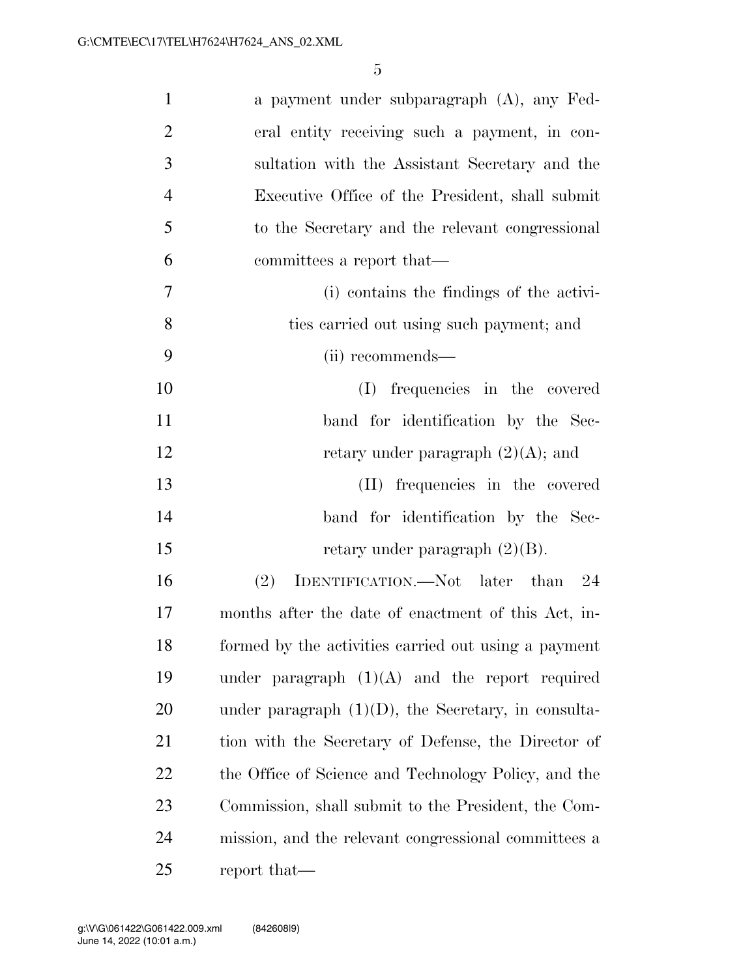| $\mathbf{1}$   | a payment under subparagraph (A), any Fed-             |
|----------------|--------------------------------------------------------|
| $\overline{2}$ | eral entity receiving such a payment, in con-          |
| 3              | sultation with the Assistant Secretary and the         |
| $\overline{4}$ | Executive Office of the President, shall submit        |
| 5              | to the Secretary and the relevant congressional        |
| 6              | committees a report that—                              |
| $\tau$         | (i) contains the findings of the activi-               |
| 8              | ties carried out using such payment; and               |
| 9              | (ii) recommends—                                       |
| 10             | frequencies in the covered<br>(I)                      |
| 11             | band for identification by the Sec-                    |
| 12             | retary under paragraph $(2)(A)$ ; and                  |
| 13             | (II) frequencies in the covered                        |
| 14             | band for identification by the Sec-                    |
| 15             | retary under paragraph $(2)(B)$ .                      |
| 16             | (2)<br>IDENTIFICATION.—Not later than 24               |
| 17             | months after the date of enactment of this Act, in-    |
| 18             | formed by the activities carried out using a payment   |
| 19             | under paragraph $(1)(A)$ and the report required       |
| 20             | under paragraph $(1)(D)$ , the Secretary, in consulta- |
| 21             | tion with the Secretary of Defense, the Director of    |
| 22             | the Office of Science and Technology Policy, and the   |
| 23             | Commission, shall submit to the President, the Com-    |
| 24             | mission, and the relevant congressional committees a   |
| 25             | report that—                                           |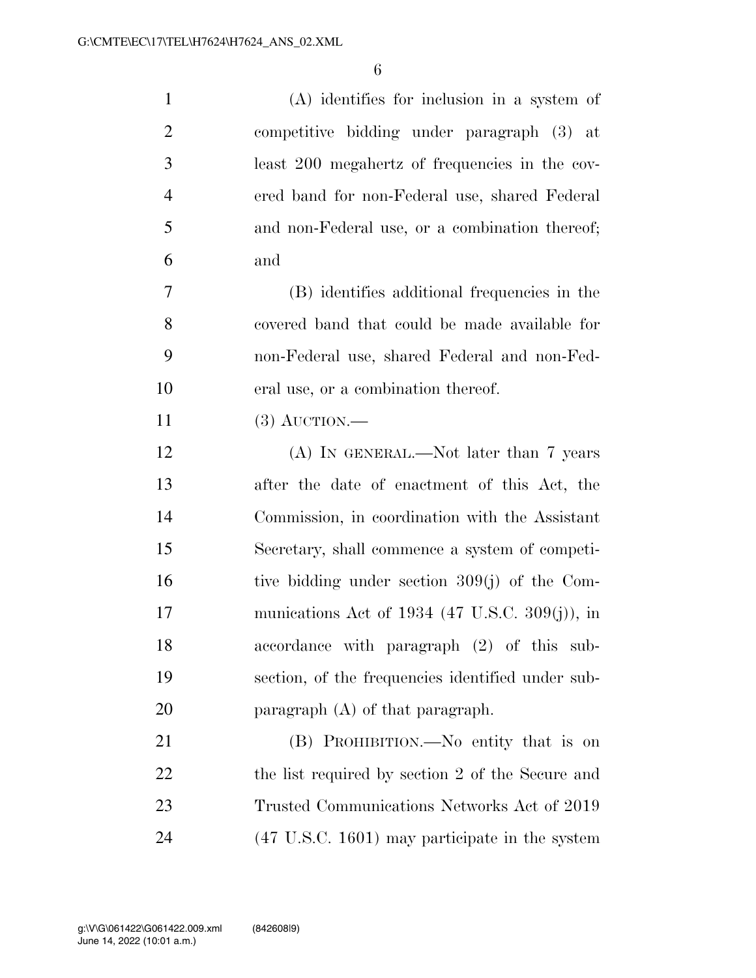| $\mathbf{1}$   | $(A)$ identifies for inclusion in a system of             |
|----------------|-----------------------------------------------------------|
| $\overline{2}$ | competitive bidding under paragraph (3) at                |
| 3              | least 200 megahertz of frequencies in the cov-            |
| $\overline{4}$ | ered band for non-Federal use, shared Federal             |
| 5              | and non-Federal use, or a combination thereof;            |
| 6              | and                                                       |
| $\overline{7}$ | (B) identifies additional frequencies in the              |
| 8              | covered band that could be made available for             |
| 9              | non-Federal use, shared Federal and non-Fed-              |
| 10             | eral use, or a combination thereof.                       |
| 11             | $(3)$ AUCTION.—                                           |
| 12             | $(A)$ In GENERAL.—Not later than 7 years                  |
| 13             | after the date of enactment of this Act, the              |
| 14             | Commission, in coordination with the Assistant            |
| 15             | Secretary, shall commence a system of competi-            |
| 16             | tive bidding under section 309(j) of the Com-             |
| 17             | munications Act of 1934 (47 U.S.C. 309(j)), in            |
| 18             | accordance with paragraph (2) of this sub-                |
| 19             | section, of the frequencies identified under sub-         |
| 20             | paragraph (A) of that paragraph.                          |
| 21             | (B) PROHIBITION.—No entity that is on                     |
| 22             | the list required by section 2 of the Secure and          |
| 23             | Trusted Communications Networks Act of 2019               |
| 24             | $(47 \text{ U.S.C. } 1601)$ may participate in the system |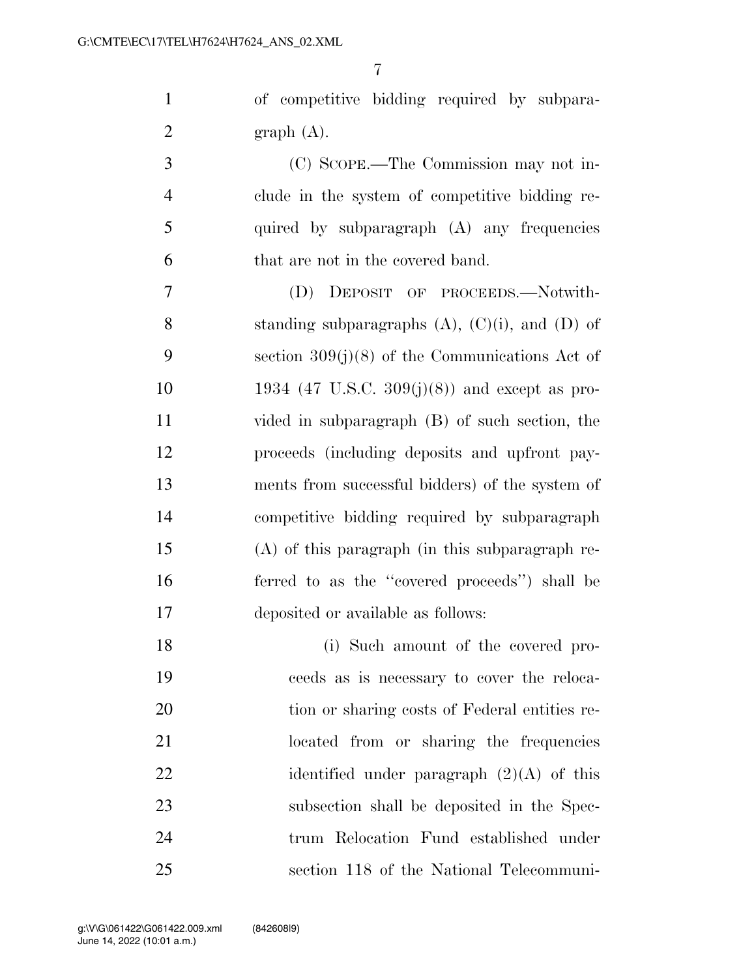of competitive bidding required by subpara-2 graph  $(A)$ .

 (C) SCOPE.—The Commission may not in- clude in the system of competitive bidding re- quired by subparagraph (A) any frequencies that are not in the covered band.

 (D) DEPOSIT OF PROCEEDS.—Notwith-8 standing subparagraphs  $(A)$ ,  $(C)(i)$ , and  $(D)$  of section 309(j)(8) of the Communications Act of 1934 (47 U.S.C. 309(j)(8)) and except as pro- vided in subparagraph (B) of such section, the proceeds (including deposits and upfront pay- ments from successful bidders) of the system of competitive bidding required by subparagraph (A) of this paragraph (in this subparagraph re- ferred to as the ''covered proceeds'') shall be deposited or available as follows:

 (i) Such amount of the covered pro- ceeds as is necessary to cover the reloca-20 tion or sharing costs of Federal entities re- located from or sharing the frequencies 22 identified under paragraph  $(2)(A)$  of this subsection shall be deposited in the Spec- trum Relocation Fund established under section 118 of the National Telecommuni-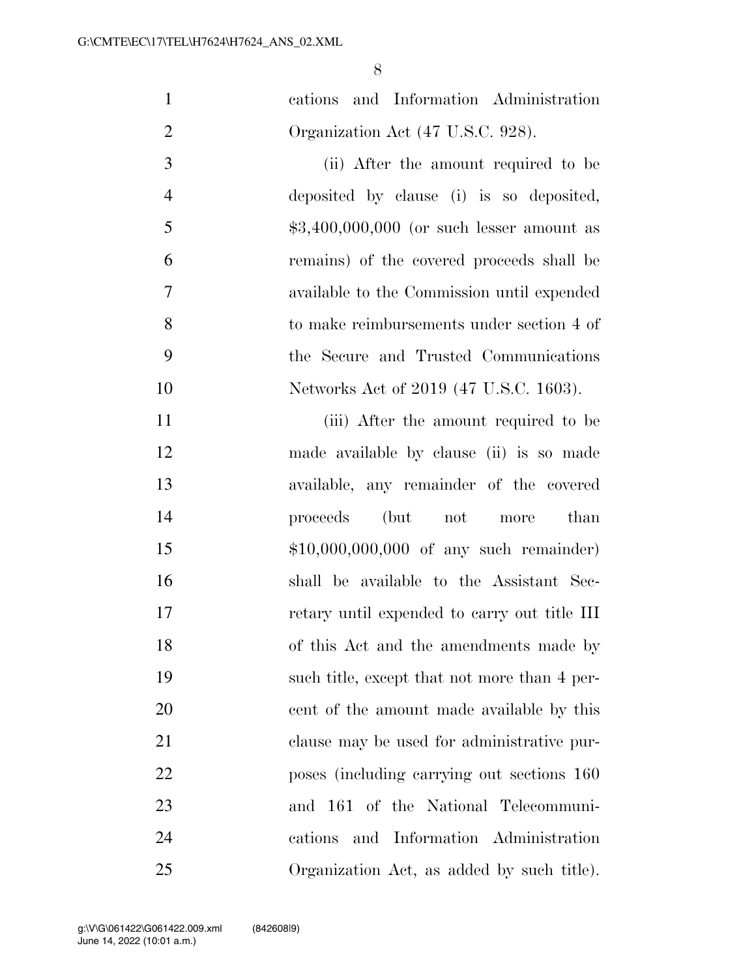cations and Information Administration 2 Organization Act (47 U.S.C. 928).

 (ii) After the amount required to be deposited by clause (i) is so deposited,  $$3,400,000,000$  (or such lesser amount as remains) of the covered proceeds shall be available to the Commission until expended to make reimbursements under section 4 of the Secure and Trusted Communications Networks Act of 2019 (47 U.S.C. 1603).

11 (iii) After the amount required to be made available by clause (ii) is so made available, any remainder of the covered proceeds (but not more than \$10,000,000,000 of any such remainder) shall be available to the Assistant Sec- retary until expended to carry out title III of this Act and the amendments made by such title, except that not more than 4 per- cent of the amount made available by this clause may be used for administrative pur- poses (including carrying out sections 160 and 161 of the National Telecommuni- cations and Information Administration Organization Act, as added by such title).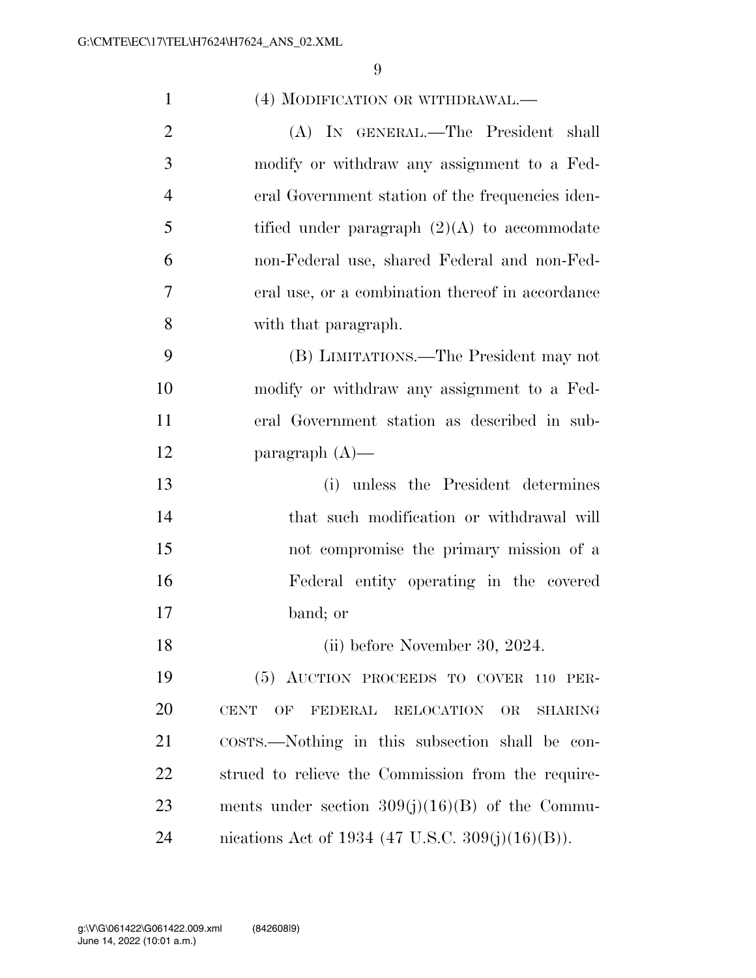| $\mathbf{1}$   | (4) MODIFICATION OR WITHDRAWAL.—                                |
|----------------|-----------------------------------------------------------------|
| $\overline{2}$ | (A) IN GENERAL.—The President shall                             |
| 3              | modify or withdraw any assignment to a Fed-                     |
| $\overline{4}$ | eral Government station of the frequencies iden-                |
| 5              | tified under paragraph $(2)(A)$ to accommodate                  |
| 6              | non-Federal use, shared Federal and non-Fed-                    |
| $\overline{7}$ | eral use, or a combination thereof in accordance                |
| 8              | with that paragraph.                                            |
| 9              | (B) LIMITATIONS.—The President may not                          |
| 10             | modify or withdraw any assignment to a Fed-                     |
| 11             | eral Government station as described in sub-                    |
| 12             | paragraph $(A)$ —                                               |
| 13             | (i) unless the President determines                             |
| 14             | that such modification or withdrawal will                       |
| 15             | not compromise the primary mission of a                         |
| 16             | Federal entity operating in the covered                         |
| 17             | band; or                                                        |
| 18             | (ii) before November 30, 2024.                                  |
| 19             | (5) AUCTION PROCEEDS TO COVER 110 PER-                          |
| 20             | <b>CENT</b><br>OF<br>FEDERAL RELOCATION<br>OR<br><b>SHARING</b> |
| 21             | costrs.—Nothing in this subsection shall be con-                |
| 22             | strued to relieve the Commission from the require-              |
| 23             | ments under section $309(j)(16)(B)$ of the Commu-               |
| 24             | nications Act of 1934 (47 U.S.C. 309(j)(16)(B)).                |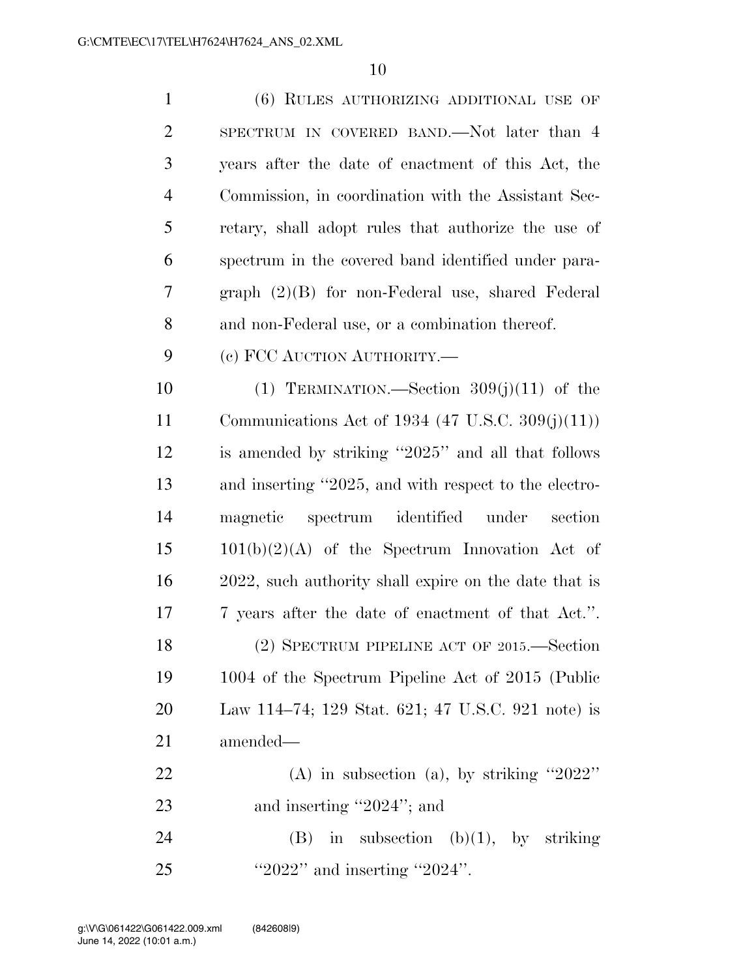(6) RULES AUTHORIZING ADDITIONAL USE OF SPECTRUM IN COVERED BAND.—Not later than 4 years after the date of enactment of this Act, the Commission, in coordination with the Assistant Sec- retary, shall adopt rules that authorize the use of spectrum in the covered band identified under para- graph (2)(B) for non-Federal use, shared Federal and non-Federal use, or a combination thereof. (c) FCC AUCTION AUTHORITY.—  $(1)$  TERMINATION.—Section  $309(i)(11)$  of the Communications Act of 1934 (47 U.S.C. 309(j)(11)) is amended by striking ''2025'' and all that follows and inserting ''2025, and with respect to the electro- magnetic spectrum identified under section  $15 \t 101(b)(2)(A)$  of the Spectrum Innovation Act of 2022, such authority shall expire on the date that is 7 years after the date of enactment of that Act.''. (2) SPECTRUM PIPELINE ACT OF 2015.—Section 1004 of the Spectrum Pipeline Act of 2015 (Public Law 114–74; 129 Stat. 621; 47 U.S.C. 921 note) is amended— (A) in subsection (a), by striking ''2022'' 23 and inserting "2024"; and 24 (B) in subsection  $(b)(1)$ , by striking ''2022'' and inserting ''2024''.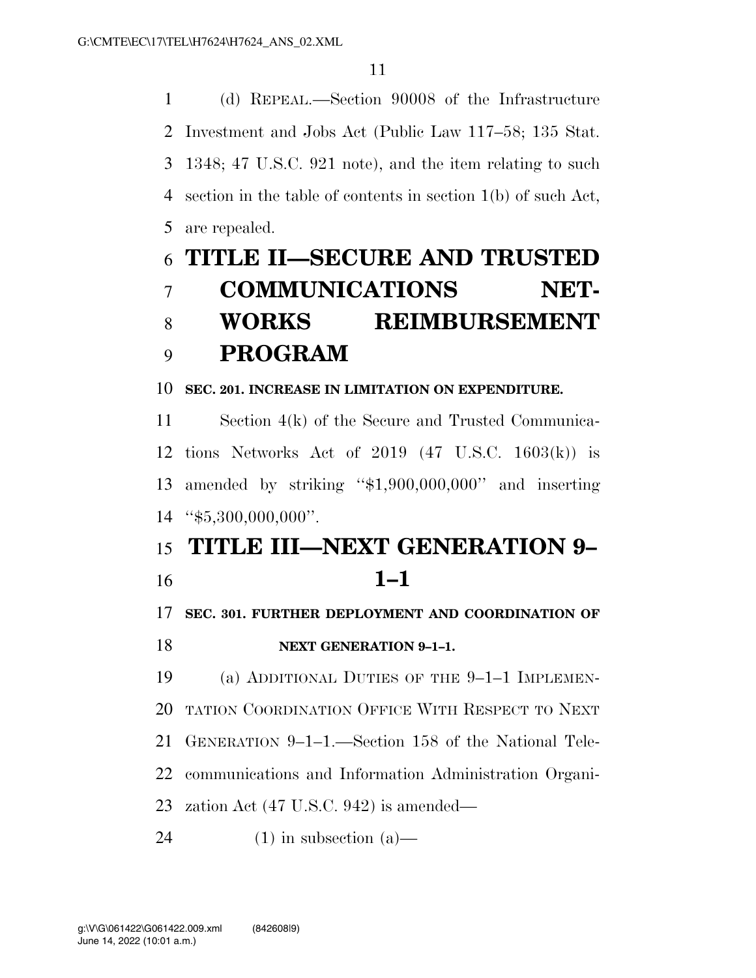(d) REPEAL.—Section 90008 of the Infrastructure Investment and Jobs Act (Public Law 117–58; 135 Stat. 1348; 47 U.S.C. 921 note), and the item relating to such section in the table of contents in section 1(b) of such Act, are repealed.

# **TITLE II—SECURE AND TRUSTED COMMUNICATIONS NET- WORKS REIMBURSEMENT PROGRAM**

**SEC. 201. INCREASE IN LIMITATION ON EXPENDITURE.** 

 Section 4(k) of the Secure and Trusted Communica- tions Networks Act of 2019 (47 U.S.C. 1603(k)) is amended by striking ''\$1,900,000,000'' and inserting ''\$5,300,000,000''.

### **TITLE III—NEXT GENERATION 9– 1–1**

**SEC. 301. FURTHER DEPLOYMENT AND COORDINATION OF** 

### **NEXT GENERATION 9–1–1.**

(a) ADDITIONAL DUTIES OF THE 9–1–1 IMPLEMEN-

TATION COORDINATION OFFICE WITH RESPECT TO NEXT

GENERATION 9–1–1.—Section 158 of the National Tele-

communications and Information Administration Organi-

zation Act (47 U.S.C. 942) is amended—

24 (1) in subsection  $(a)$ —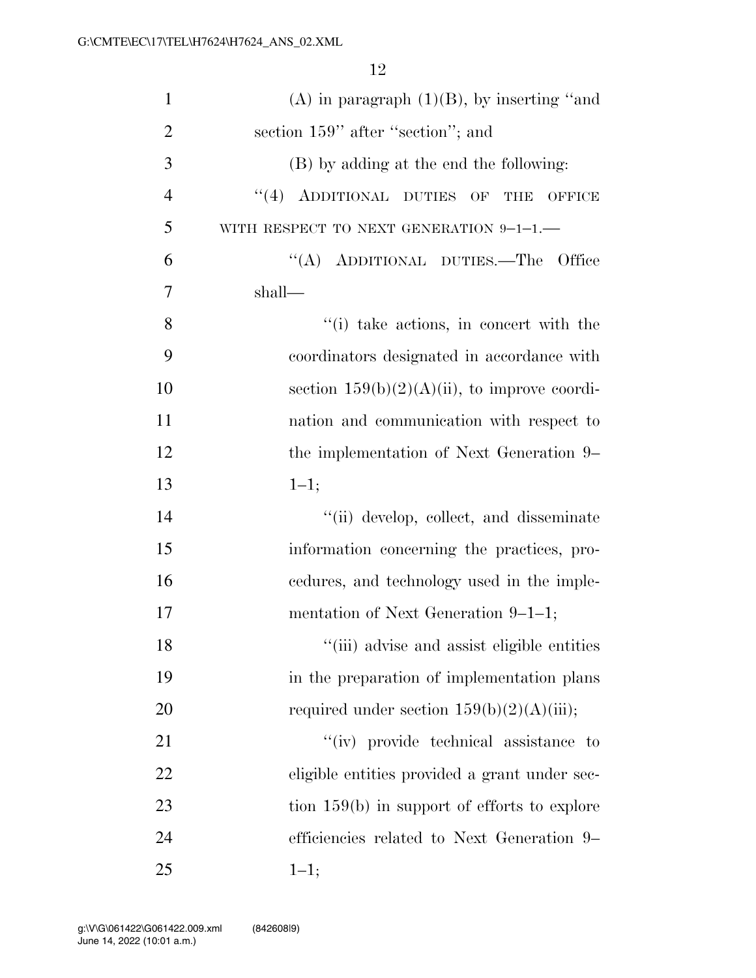| $\mathbf{1}$   | $(A)$ in paragraph $(1)(B)$ , by inserting "and"            |
|----------------|-------------------------------------------------------------|
| $\overline{2}$ | section 159" after "section"; and                           |
| 3              | (B) by adding at the end the following:                     |
| $\overline{4}$ | $``(4)$ ADDITIONAL DUTIES OF<br><b>THB</b><br><b>OFFICE</b> |
| 5              | WITH RESPECT TO NEXT GENERATION $9-1-1$ .                   |
| 6              | "(A) ADDITIONAL DUTIES.—The Office                          |
| 7              | shall—                                                      |
| 8              | "(i) take actions, in concert with the                      |
| 9              | coordinators designated in accordance with                  |
| 10             | section $159(b)(2)(A)(ii)$ , to improve coordi-             |
| 11             | nation and communication with respect to                    |
| 12             | the implementation of Next Generation 9–                    |
| 13             | $1 - 1;$                                                    |
| 14             | "(ii) develop, collect, and disseminate                     |
| 15             | information concerning the practices, pro-                  |
| 16             | eedures, and technology used in the imple-                  |
| 17             | mentation of Next Generation $9-1-1$ ;                      |
| 18             | "(iii) advise and assist eligible entities                  |
| 19             | in the preparation of implementation plans                  |
| 20             | required under section $159(b)(2)(A)(iii)$ ;                |
| 21             | "(iv) provide technical assistance to                       |
| 22             | eligible entities provided a grant under sec-               |
| 23             | tion $159(b)$ in support of efforts to explore              |
| 24             | efficiencies related to Next Generation 9–                  |
| 25             | $1 - 1;$                                                    |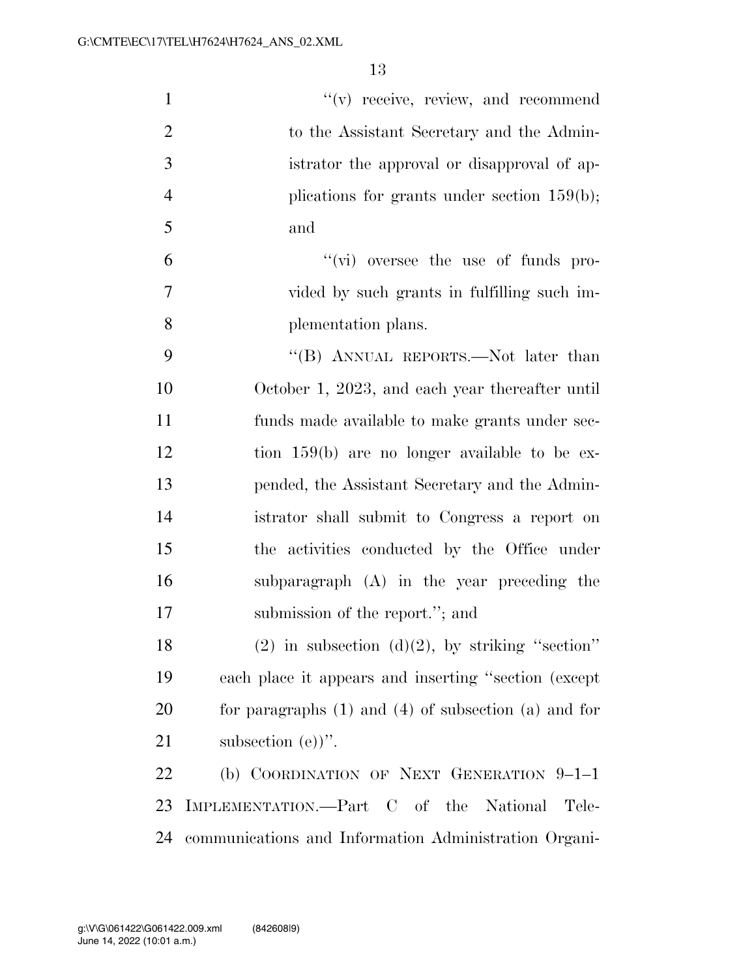| $\mathbf{1}$   | $f'(v)$ receive, review, and recommend                     |
|----------------|------------------------------------------------------------|
| $\overline{2}$ | to the Assistant Secretary and the Admin-                  |
| 3              | istrator the approval or disapproval of ap-                |
| $\overline{4}$ | plications for grants under section $159(b)$ ;             |
| 5              | and                                                        |
| 6              | "(vi) oversee the use of funds pro-                        |
| 7              | vided by such grants in fulfilling such im-                |
| 8              | plementation plans.                                        |
| 9              | "(B) ANNUAL REPORTS.—Not later than                        |
| 10             | October 1, 2023, and each year thereafter until            |
| 11             | funds made available to make grants under sec-             |
| 12             | tion $159(b)$ are no longer available to be ex-            |
| 13             | pended, the Assistant Secretary and the Admin-             |
| 14             | istrator shall submit to Congress a report on              |
| 15             | the activities conducted by the Office under               |
| 16             | subparagraph $(A)$ in the year preceding the               |
| 17             | submission of the report."; and                            |
| 18             | $(2)$ in subsection $(d)(2)$ , by striking "section"       |
| 19             | each place it appears and inserting "section (except)      |
| 20             | for paragraphs $(1)$ and $(4)$ of subsection $(a)$ and for |
| 21             | subsection $(e)$ .                                         |
| 22             | (b) COORDINATION OF NEXT GENERATION 9-1-1                  |
| 23             | IMPLEMENTATION.—Part C of the National<br>Tele-            |
| 24             | communications and Information Administration Organi-      |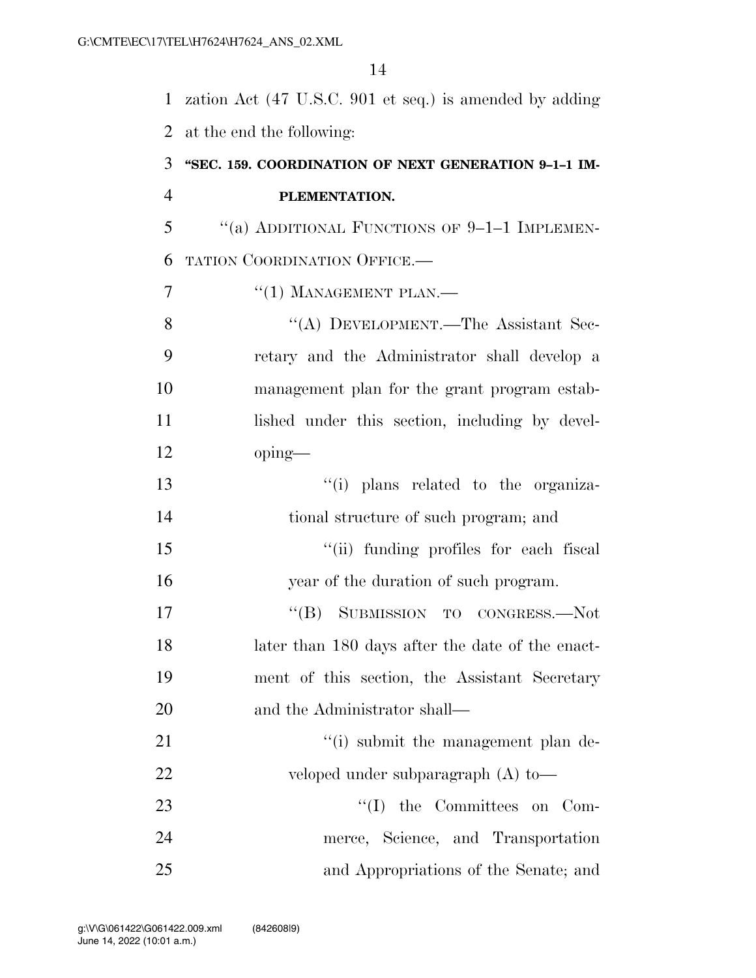zation Act (47 U.S.C. 901 et seq.) is amended by adding at the end the following: **''SEC. 159. COORDINATION OF NEXT GENERATION 9–1–1 IM- PLEMENTATION.**  ''(a) ADDITIONAL FUNCTIONS OF 9–1–1 IMPLEMEN- TATION COORDINATION OFFICE.— 7 <sup>"</sup>(1) MANAGEMENT PLAN.— 8 "(A) DEVELOPMENT.—The Assistant Sec- retary and the Administrator shall develop a management plan for the grant program estab-11 lished under this section, including by devel- oping— ''(i) plans related to the organiza- tional structure of such program; and  $\frac{1}{10}$  funding profiles for each fiscal year of the duration of such program. 17 "(B) SUBMISSION TO CONGRESS.—Not later than 180 days after the date of the enact- ment of this section, the Assistant Secretary and the Administrator shall— 21 ''(i) submit the management plan de- veloped under subparagraph (A) to— 23 ''(I) the Committees on Com- merce, Science, and Transportation and Appropriations of the Senate; and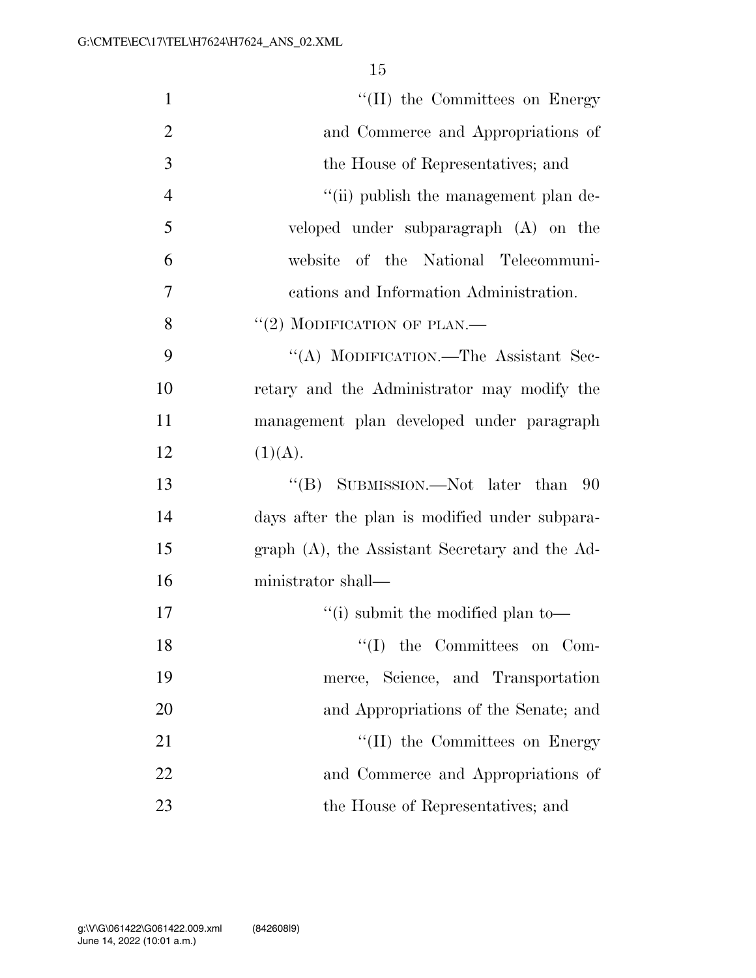| $\mathbf{1}$   | "(II) the Committees on Energy                 |
|----------------|------------------------------------------------|
| $\overline{2}$ | and Commerce and Appropriations of             |
| 3              | the House of Representatives; and              |
| $\overline{4}$ | "(ii) publish the management plan de-          |
| 5              | veloped under subparagraph (A) on the          |
| 6              | website of the National Telecommuni-           |
| 7              | cations and Information Administration.        |
| 8              | $``(2)$ MODIFICATION OF PLAN.—                 |
| 9              | "(A) MODIFICATION.—The Assistant Sec-          |
| 10             | retary and the Administrator may modify the    |
| 11             | management plan developed under paragraph      |
| 12             | (1)(A).                                        |
| 13             | "(B) SUBMISSION.—Not later than<br>- 90        |
| 14             | days after the plan is modified under subpara- |
| 15             | graph (A), the Assistant Secretary and the Ad- |
| 16             | ministrator shall—                             |
| 17             | "(i) submit the modified plan to-              |
| 18             | "(I) the Committees on Com-                    |
| 19             | merce, Science, and Transportation             |
| 20             | and Appropriations of the Senate; and          |
| 21             | "(II) the Committees on Energy                 |
| 22             | and Commerce and Appropriations of             |
| 23             | the House of Representatives; and              |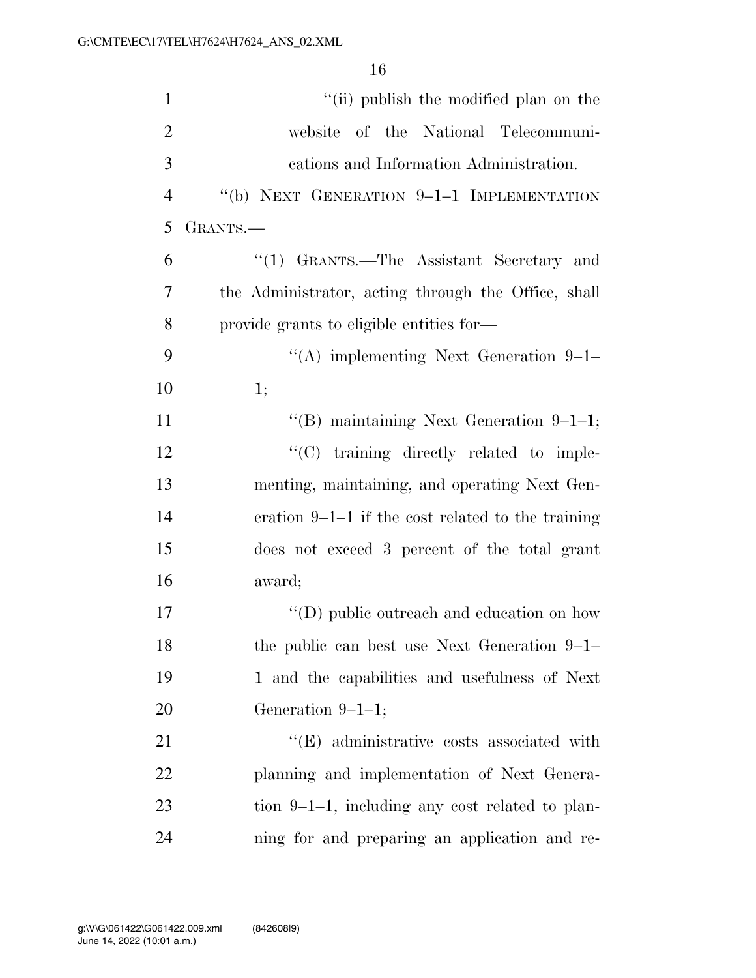| $\mathbf{1}$   | "(ii) publish the modified plan on the              |
|----------------|-----------------------------------------------------|
| $\overline{2}$ | website of the National Telecommuni-                |
| 3              | cations and Information Administration.             |
| $\overline{4}$ | "(b) NEXT GENERATION 9-1-1 IMPLEMENTATION           |
| 5              | GRANTS.-                                            |
| 6              | "(1) GRANTS.—The Assistant Secretary and            |
| 7              | the Administrator, acting through the Office, shall |
| 8              | provide grants to eligible entities for—            |
| 9              | "(A) implementing Next Generation $9-1-$            |
| 10             | 1;                                                  |
| 11             | "(B) maintaining Next Generation $9-1-1$ ;          |
| 12             | "(C) training directly related to imple-            |
| 13             | menting, maintaining, and operating Next Gen-       |
| 14             | eration $9-1-1$ if the cost related to the training |
| 15             | does not exceed 3 percent of the total grant        |
| 16             | award;                                              |
| 17             | $\lq\lq$ (D) public outreach and education on how   |
| 18             | the public can best use Next Generation $9-1-$      |
| 19             | 1 and the capabilities and usefulness of Next       |
| 20             | Generation $9-1-1$ ;                                |
| 21             | $\lq\lq$ administrative costs associated with       |
| 22             | planning and implementation of Next Genera-         |
| 23             | tion $9-1-1$ , including any cost related to plan-  |
| 24             | ning for and preparing an application and re-       |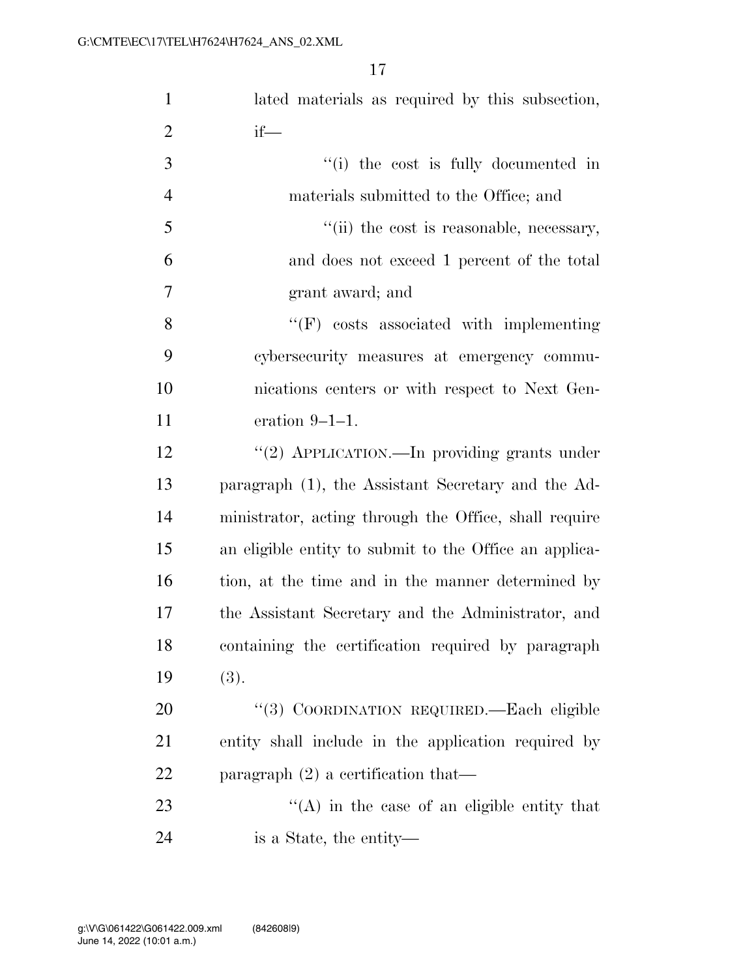| $\mathbf{1}$   | lated materials as required by this subsection,        |
|----------------|--------------------------------------------------------|
| $\overline{2}$ | $if$ —                                                 |
| 3              | "(i) the cost is fully documented in                   |
| $\overline{4}$ | materials submitted to the Office; and                 |
| 5              | "(ii) the cost is reasonable, necessary,               |
| 6              | and does not exceed 1 percent of the total             |
| $\overline{7}$ | grant award; and                                       |
| 8              | $\lq\lq(F)$ costs associated with implementing         |
| 9              | cybersecurity measures at emergency commu-             |
| 10             | nications centers or with respect to Next Gen-         |
| 11             | eration $9-1-1$ .                                      |
| 12             | "(2) APPLICATION.—In providing grants under            |
| 13             | paragraph (1), the Assistant Secretary and the Ad-     |
| 14             | ministrator, acting through the Office, shall require  |
| 15             | an eligible entity to submit to the Office an applica- |
| 16             | tion, at the time and in the manner determined by      |
| 17             | the Assistant Secretary and the Administrator, and     |
| 18             | containing the certification required by paragraph     |
| 19             | (3).                                                   |
| 20             | "(3) COORDINATION REQUIRED. - Each eligible            |
| 21             | entity shall include in the application required by    |
| 22             | paragraph $(2)$ a certification that—                  |
| 23             | $\lq\lq$ in the case of an eligible entity that        |
| 24             | is a State, the entity—                                |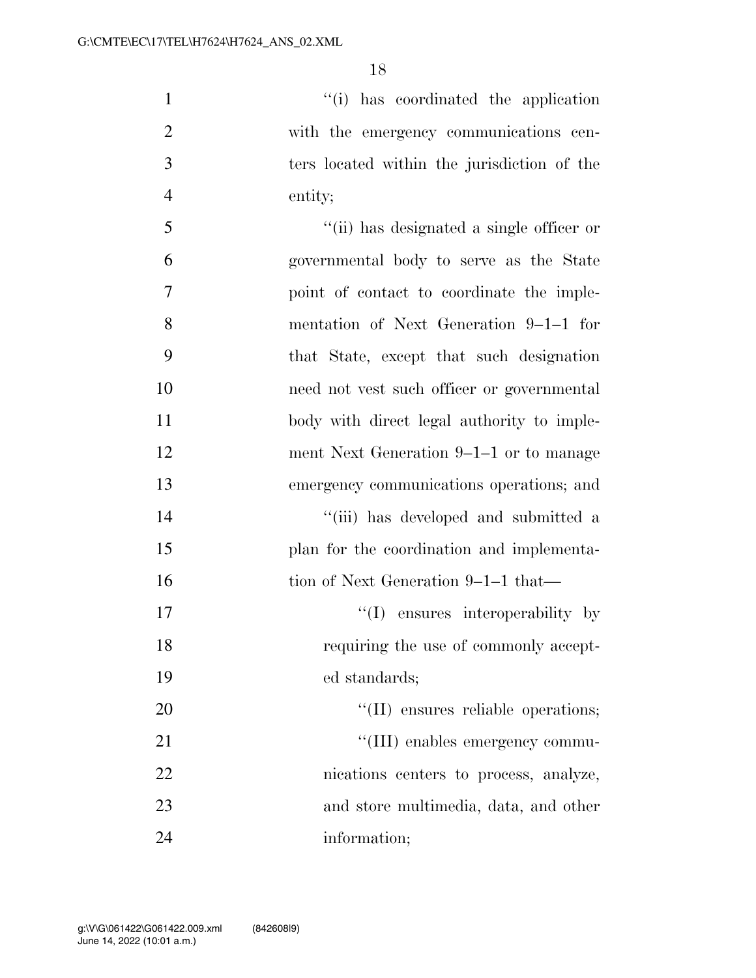$\frac{1}{1}$  has coordinated the application with the emergency communications cen- ters located within the jurisdiction of the entity;

 ''(ii) has designated a single officer or governmental body to serve as the State point of contact to coordinate the imple- mentation of Next Generation 9–1–1 for that State, except that such designation need not vest such officer or governmental body with direct legal authority to imple- ment Next Generation 9–1–1 or to manage emergency communications operations; and 14 ''(iii) has developed and submitted a plan for the coordination and implementa-16 tion of Next Generation 9–1–1 that—  $\frac{17}{2}$  ensures interoperability by requiring the use of commonly accept- ed standards;  $\text{``(II)}$  ensures reliable operations;  $\frac{1}{2}$  (III) enables emergency commu- nications centers to process, analyze, and store multimedia, data, and other information;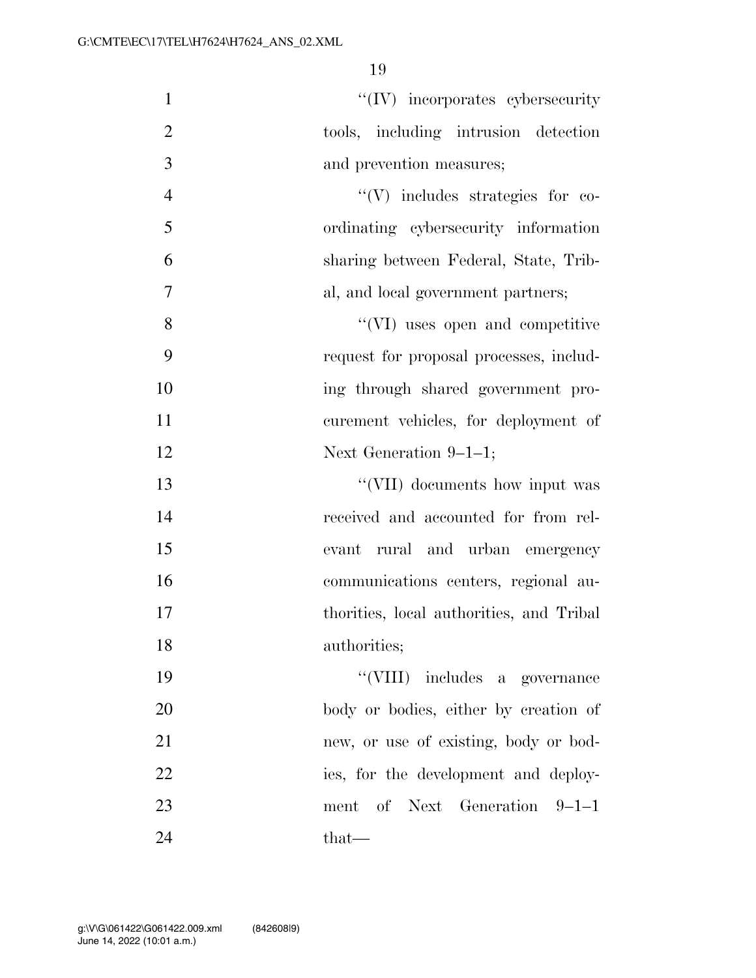| $\mathbf{1}$   | $\lq\lq (IV)$ incorporates cybersecurity |
|----------------|------------------------------------------|
| $\mathfrak{2}$ | tools, including intrusion detection     |
| 3              | and prevention measures;                 |
| $\overline{4}$ | $\lq\lq (V)$ includes strategies for co- |
| 5              | ordinating cybersecurity information     |
| 6              | sharing between Federal, State, Trib-    |
| $\overline{7}$ | al, and local government partners;       |
| 8              | "(VI) uses open and competitive          |
| 9              | request for proposal processes, includ-  |
| 10             | ing through shared government pro-       |
| 11             | curement vehicles, for deployment of     |
| 12             | Next Generation $9-1-1$ ;                |
| 13             | "(VII) documents how input was           |
| 14             | received and accounted for from rel-     |
| 15             | rural and urban emergency<br>evant       |
| 16             | communications centers, regional au-     |
| 17             | thorities, local authorities, and Tribal |
| 18             | authorities;                             |
| 19             | "(VIII) includes a governance            |
| 20             | body or bodies, either by creation of    |
| 21             | new, or use of existing, body or bod-    |
| 22             | ies, for the development and deploy-     |
| 23             | ment of Next Generation 9-1-1            |
| 24             | that—                                    |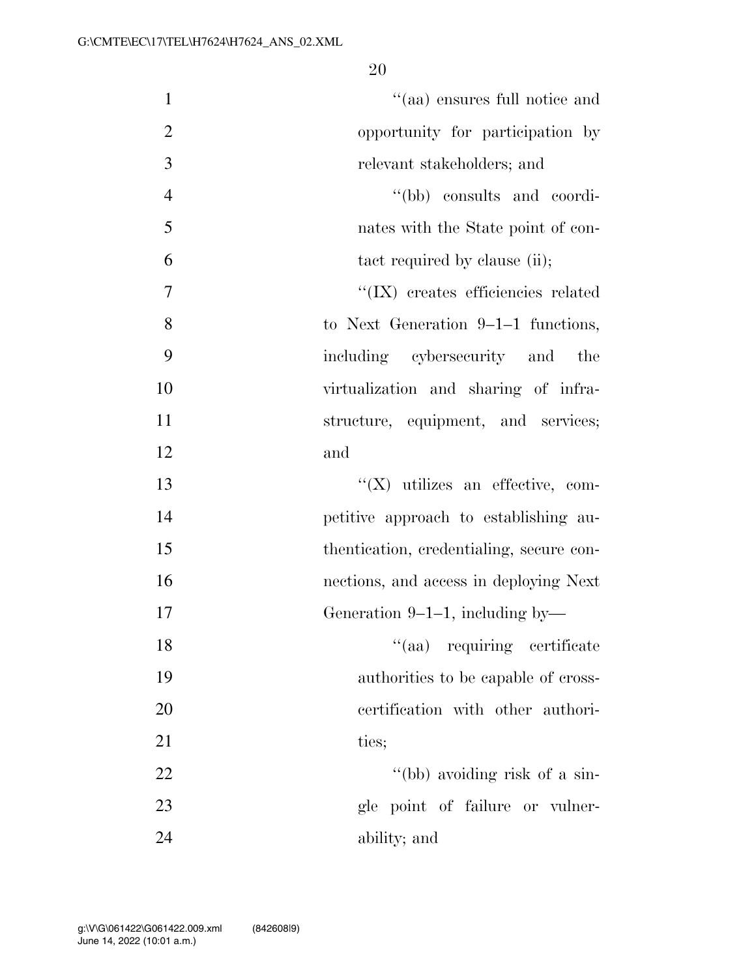| $\mathbf{1}$   | "(aa) ensures full notice and            |
|----------------|------------------------------------------|
| $\overline{2}$ | opportunity for participation by         |
| 3              | relevant stakeholders; and               |
| $\overline{4}$ | "(bb) consults and coordi-               |
| 5              | nates with the State point of con-       |
| 6              | tact required by clause (ii);            |
| 7              | "(IX) creates efficiencies related       |
| 8              | to Next Generation $9-1-1$ functions,    |
| 9              | including cybersecurity and<br>the       |
| 10             | virtualization and sharing of infra-     |
| 11             | structure, equipment, and services;      |
| 12             | and                                      |
| 13             | $\lq\lq$ (X) utilizes an effective, com- |
| 14             | petitive approach to establishing au-    |
| 15             | thentication, credentialing, secure con- |
| 16             | nections, and access in deploying Next   |
| 17             | Generation 9-1-1, including by-          |
| 18             | "(aa) requiring certificate              |
| 19             | authorities to be capable of cross-      |
| 20             | certification with other authori-        |
| 21             | ties;                                    |
| 22             | "(bb) avoiding risk of a sin-            |
| 23             | gle point of failure or vulner-          |
| 24             | ability; and                             |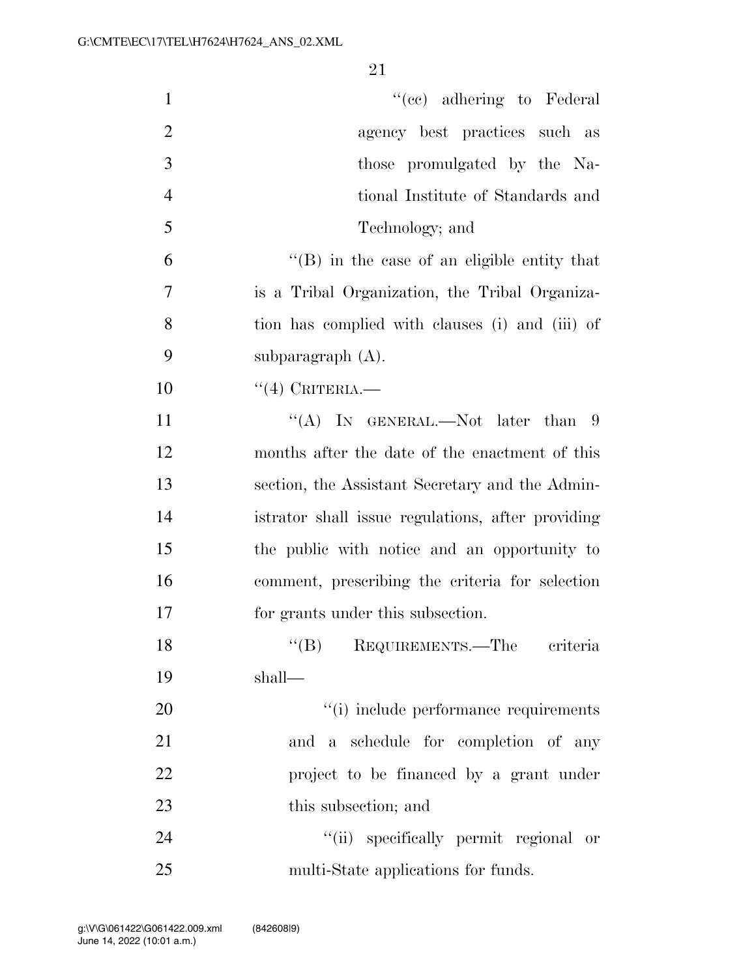| $\mathbf{1}$   | "(cc) adhering to Federal                         |
|----------------|---------------------------------------------------|
| $\overline{2}$ | agency best practices such as                     |
| 3              | those promulgated by the Na-                      |
| $\overline{4}$ | tional Institute of Standards and                 |
| 5              | Technology; and                                   |
| 6              | "(B) in the case of an eligible entity that       |
| $\overline{7}$ | is a Tribal Organization, the Tribal Organiza-    |
| 8              | tion has complied with clauses (i) and (iii) of   |
| 9              | subparagraph $(A)$ .                              |
| 10             | $``(4)$ CRITERIA.                                 |
| 11             | "(A) IN GENERAL.—Not later than $9$               |
| 12             | months after the date of the enactment of this    |
| 13             | section, the Assistant Secretary and the Admin-   |
| 14             | istrator shall issue regulations, after providing |
| 15             | the public with notice and an opportunity to      |
| 16             | comment, prescribing the criteria for selection   |
| 17             | for grants under this subsection.                 |
| 18             | ``(B)<br>REQUIREMENTS.—The criteria               |
| 19             | shall—                                            |
| 20             | "(i) include performance requirements             |
| 21             | and a schedule for completion of any              |
| 22             | project to be financed by a grant under           |
| 23             | this subsection; and                              |
| 24             | "(ii) specifically permit regional or             |
| 25             | multi-State applications for funds.               |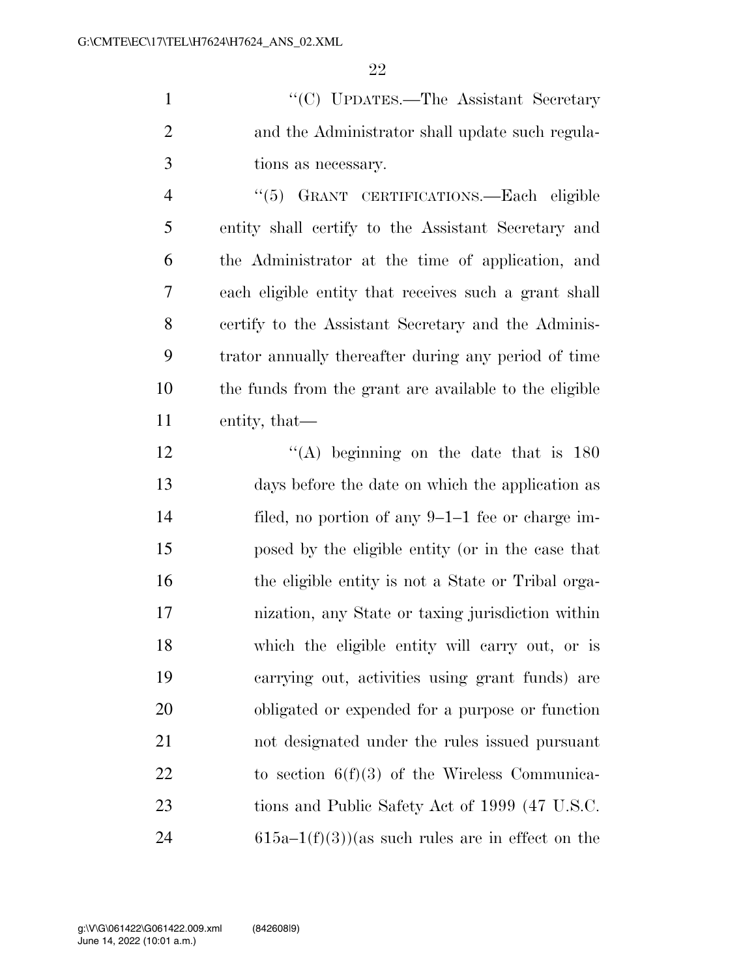''(C) UPDATES.—The Assistant Secretary and the Administrator shall update such regula-tions as necessary.

 ''(5) GRANT CERTIFICATIONS.—Each eligible entity shall certify to the Assistant Secretary and the Administrator at the time of application, and each eligible entity that receives such a grant shall certify to the Assistant Secretary and the Adminis- trator annually thereafter during any period of time the funds from the grant are available to the eligible entity, that—

 $\langle (A)$  beginning on the date that is 180 days before the date on which the application as filed, no portion of any 9–1–1 fee or charge im- posed by the eligible entity (or in the case that the eligible entity is not a State or Tribal orga- nization, any State or taxing jurisdiction within which the eligible entity will carry out, or is carrying out, activities using grant funds) are obligated or expended for a purpose or function not designated under the rules issued pursuant to section 6(f)(3) of the Wireless Communica-23 tions and Public Safety Act of 1999 (47 U.S.C. 24 615a–1(f)(3))(as such rules are in effect on the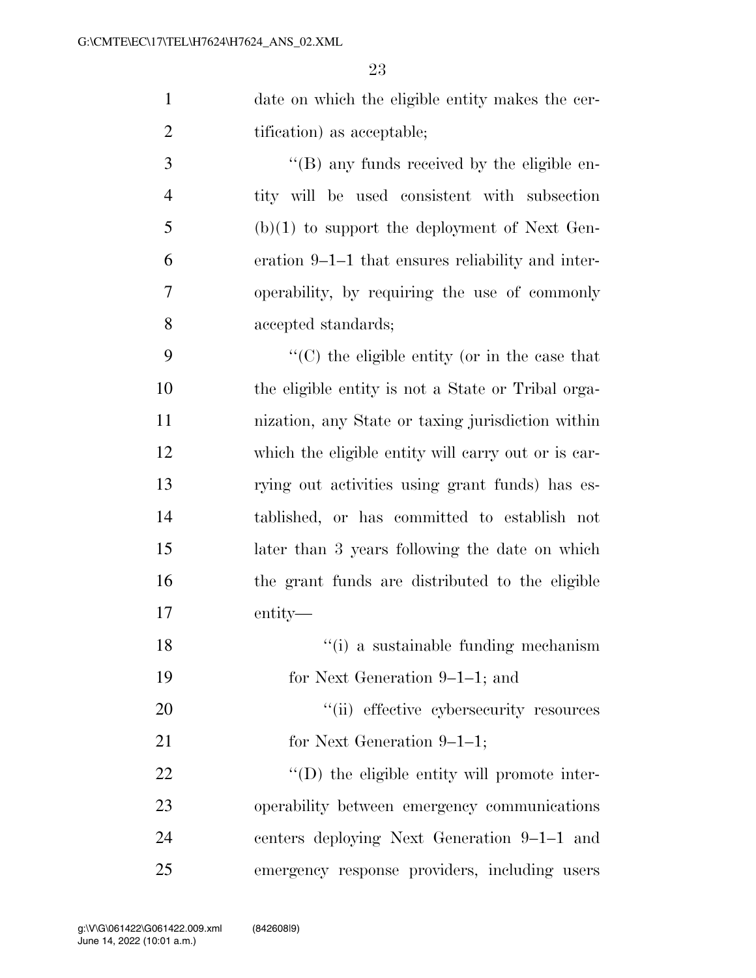date on which the eligible entity makes the cer-2 tification) as acceptable; ''(B) any funds received by the eligible en-

 tity will be used consistent with subsection (b)(1) to support the deployment of Next Gen- eration 9–1–1 that ensures reliability and inter- operability, by requiring the use of commonly accepted standards;

 ''(C) the eligible entity (or in the case that the eligible entity is not a State or Tribal orga- nization, any State or taxing jurisdiction within which the eligible entity will carry out or is car- rying out activities using grant funds) has es- tablished, or has committed to establish not later than 3 years following the date on which the grant funds are distributed to the eligible entity—

- 18 ''(i) a sustainable funding mechanism
- for Next Generation 9–1–1; and
- 20  $\frac{1}{20}$  effective cybersecurity resources
- 21 for Next Generation 9–1–1;

 $\bullet$   $\bullet$   $\bullet$  (D) the eligible entity will promote inter- operability between emergency communications centers deploying Next Generation 9–1–1 and emergency response providers, including users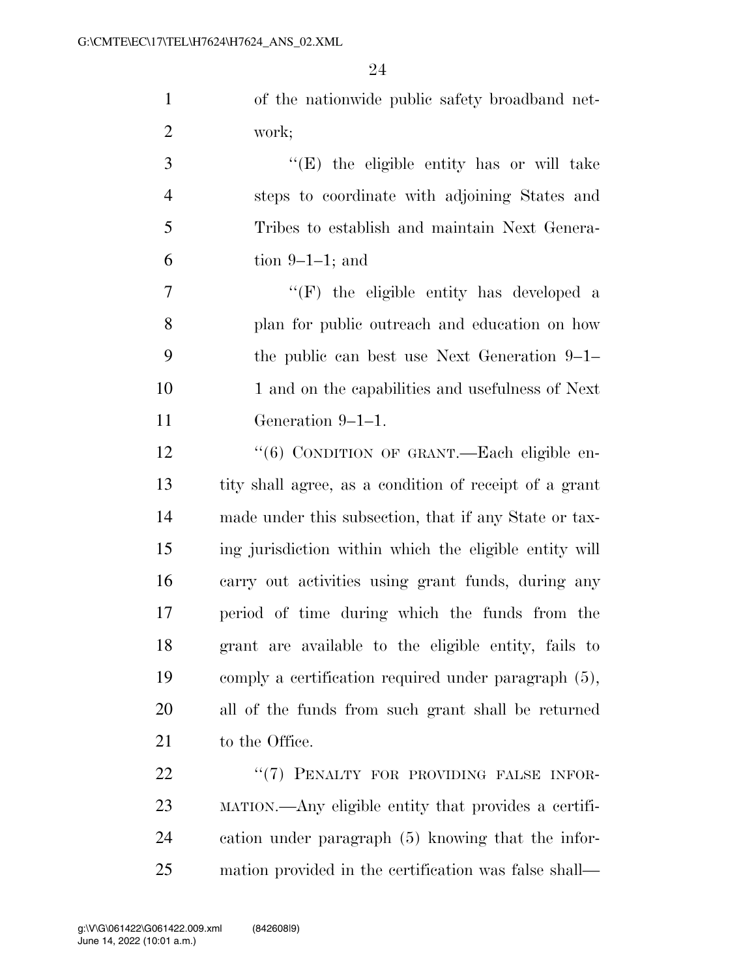of the nationwide public safety broadband net-work;

 ''(E) the eligible entity has or will take steps to coordinate with adjoining States and Tribes to establish and maintain Next Genera-tion 9–1–1; and

 $''(F)$  the eligible entity has developed a plan for public outreach and education on how the public can best use Next Generation 9–1– 10 1 and on the capabilities and usefulness of Next Generation 9–1–1.

12 "(6) CONDITION OF GRANT.—Each eligible en- tity shall agree, as a condition of receipt of a grant made under this subsection, that if any State or tax- ing jurisdiction within which the eligible entity will carry out activities using grant funds, during any period of time during which the funds from the grant are available to the eligible entity, fails to comply a certification required under paragraph (5), all of the funds from such grant shall be returned 21 to the Office.

22 "(7) PENALTY FOR PROVIDING FALSE INFOR- MATION.—Any eligible entity that provides a certifi- cation under paragraph (5) knowing that the infor-mation provided in the certification was false shall—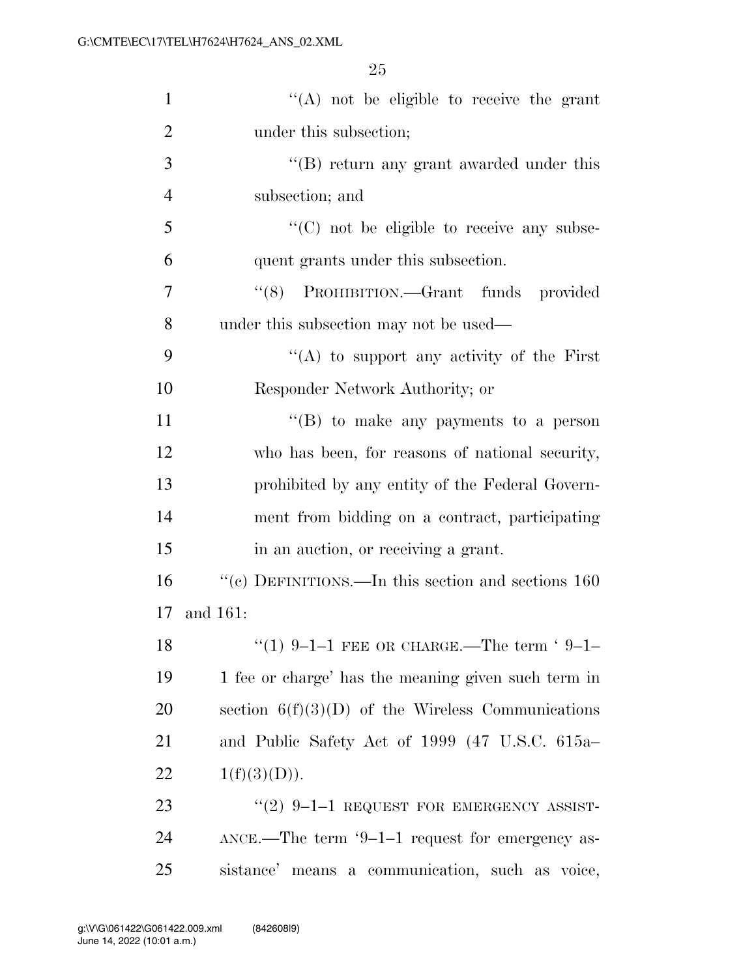| $\mathbf{1}$   | $\lq\lq$ not be eligible to receive the grant            |
|----------------|----------------------------------------------------------|
| $\overline{2}$ | under this subsection;                                   |
| 3              | "(B) return any grant awarded under this                 |
| $\overline{4}$ | subsection; and                                          |
| 5              | "(C) not be eligible to receive any subse-               |
| 6              | quent grants under this subsection.                      |
| 7              | "(8) PROHIBITION.—Grant funds provided                   |
| 8              | under this subsection may not be used—                   |
| 9              | "(A) to support any activity of the First                |
| 10             | Responder Network Authority; or                          |
| 11             | $\lq\lq (B)$ to make any payments to a person            |
| 12             | who has been, for reasons of national security,          |
| 13             | prohibited by any entity of the Federal Govern-          |
| 14             | ment from bidding on a contract, participating           |
| 15             | in an auction, or receiving a grant.                     |
| 16             | "(c) DEFINITIONS.—In this section and sections $160\,$   |
| 17             | and 161:                                                 |
| 18             | "(1) 9-1-1 FEE OR CHARGE.—The term '9-1-                 |
| 19             | 1 fee or charge' has the meaning given such term in      |
| 20             | section $6(f)(3)(D)$ of the Wireless Communications      |
| 21             | and Public Safety Act of 1999 (47 U.S.C. 615a–           |
| 22             | 1(f)(3)(D)).                                             |
| 23             | "(2) $9-1-1$ REQUEST FOR EMERGENCY ASSIST-               |
| 24             | $\Delta NCE$ .—The term '9–1–1 request for emergency as- |
| 25             | sistance' means a communication, such as voice,          |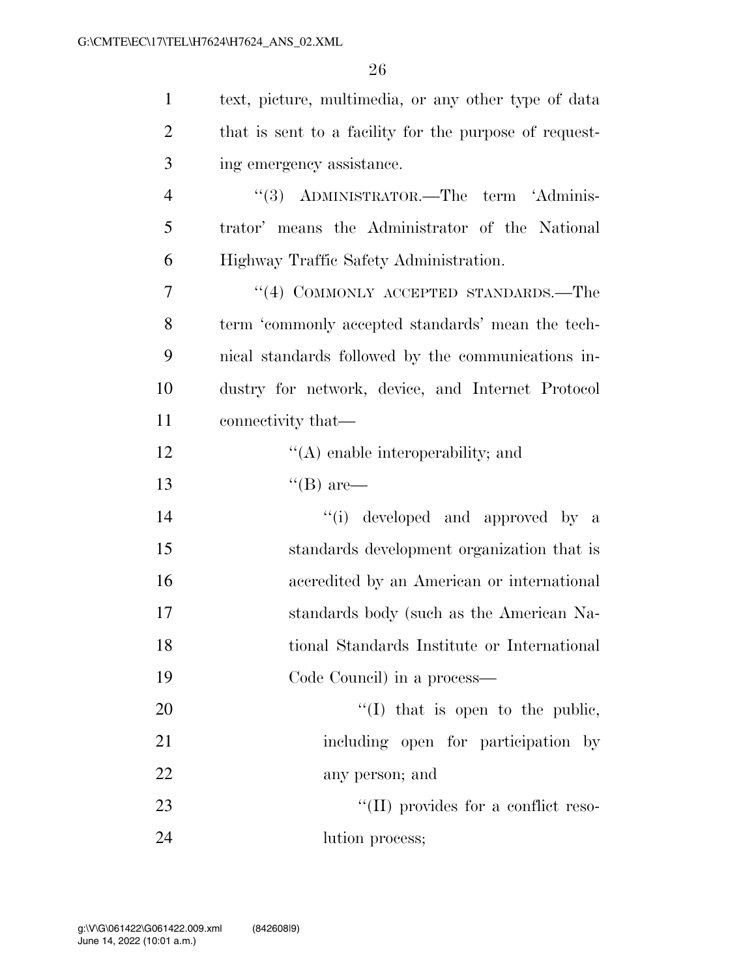| $\mathbf{1}$   | text, picture, multimedia, or any other type of data   |
|----------------|--------------------------------------------------------|
| $\overline{2}$ | that is sent to a facility for the purpose of request- |
| 3              | ing emergency assistance.                              |
| $\overline{4}$ | "(3) ADMINISTRATOR.—The term 'Adminis-                 |
| 5              | trator' means the Administrator of the National        |
| 6              | Highway Traffic Safety Administration.                 |
| 7              | "(4) COMMONLY ACCEPTED STANDARDS.—The                  |
| 8              | term 'commonly accepted standards' mean the tech-      |
| 9              | nical standards followed by the communications in-     |
| 10             | dustry for network, device, and Internet Protocol      |
| 11             | connectivity that—                                     |
| 12             | $\lq\lq$ enable interoperability; and                  |
| 13             | $\lq\lq (B)$ are—                                      |
| 14             | "(i) developed and approved by a                       |
| 15             | standards development organization that is             |
| 16             | accredited by an American or international             |
| 17             | standards body (such as the American Na-               |
| 18             | tional Standards Institute or International            |
| 19             | Code Council) in a process—                            |
| 20             | $\lq\lq$ (I) that is open to the public,               |
| 21             | including open for participation by                    |
| 22             | any person; and                                        |
| 23             | "(II) provides for a conflict reso-                    |
| 24             | lution process;                                        |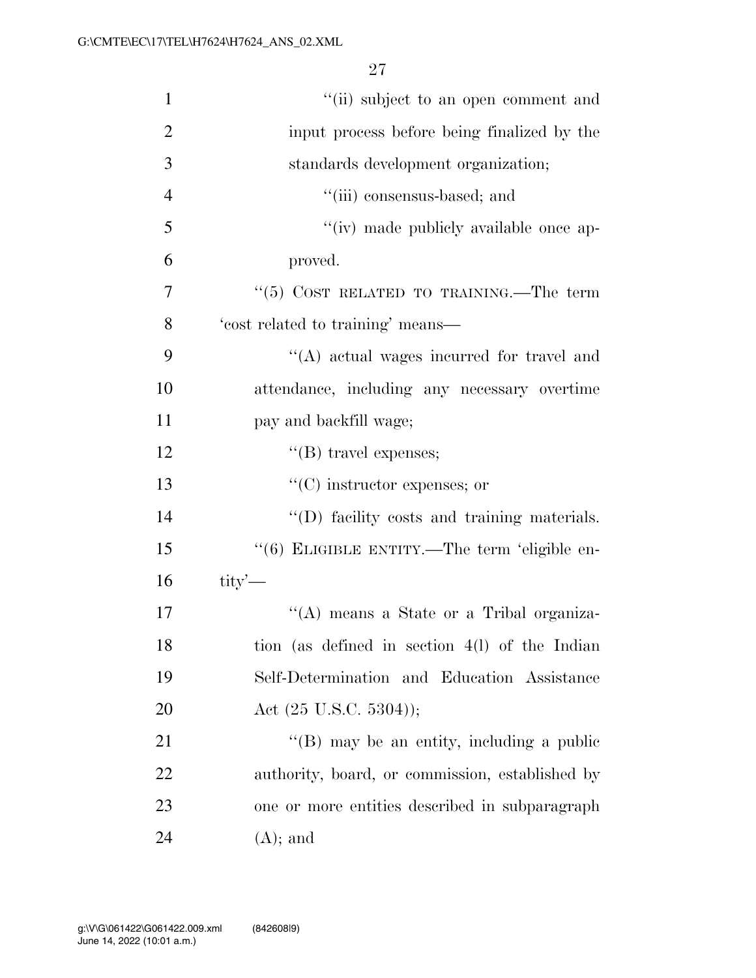| $\mathbf{1}$   | "(ii) subject to an open comment and            |
|----------------|-------------------------------------------------|
| $\overline{2}$ | input process before being finalized by the     |
| 3              | standards development organization;             |
| $\overline{4}$ | "(iii) consensus-based; and                     |
| 5              | "(iv) made publicly available once ap-          |
| 6              | proved.                                         |
| 7              | " $(5)$ COST RELATED TO TRAINING.—The term      |
| 8              | 'cost related to training' means—               |
| 9              | "(A) actual wages incurred for travel and       |
| 10             | attendance, including any necessary overtime    |
| 11             | pay and backfill wage;                          |
| 12             | $\lq\lq$ (B) travel expenses;                   |
| 13             | $\lq\lq$ (C) instructor expenses; or            |
| 14             | "(D) facility costs and training materials.     |
| 15             | "(6) ELIGIBLE ENTITY.—The term 'eligible en-    |
| 16             | $\text{tity}'$                                  |
| 17             | "(A) means a State or a Tribal organiza-        |
| 18             | tion (as defined in section 4(1) of the Indian  |
| 19             | Self-Determination and Education Assistance     |
| <b>20</b>      | Act $(25 \text{ U.S.C. } 5304)$ );              |
| 21             | "(B) may be an entity, including a public       |
| 22             | authority, board, or commission, established by |
| 23             | one or more entities described in subparagraph  |
| 24             | $(A)$ ; and                                     |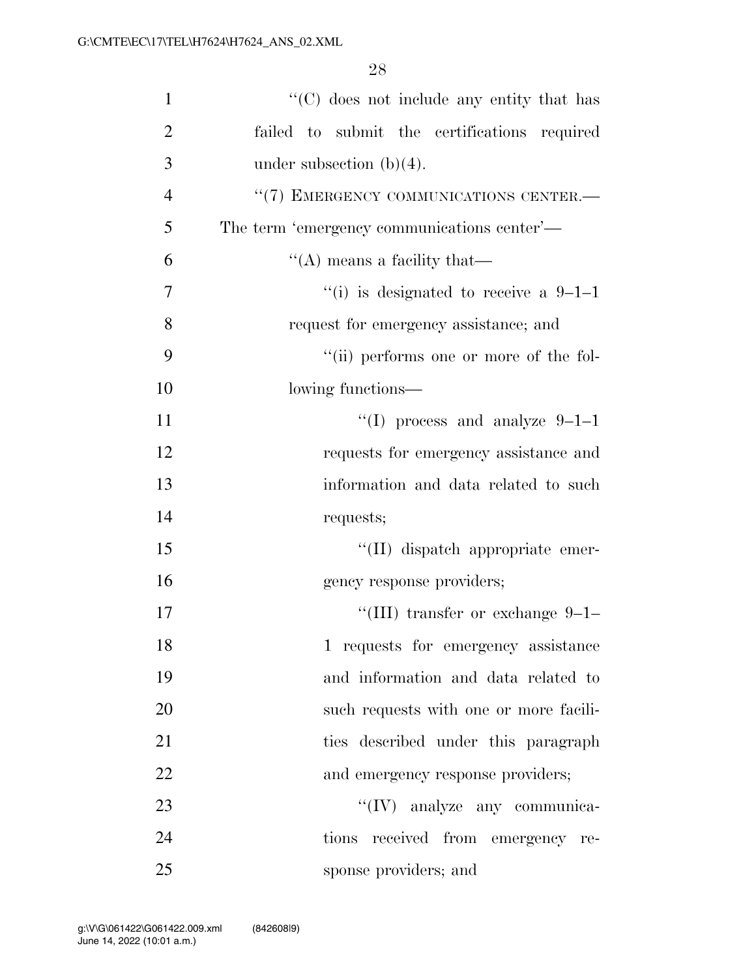| $\mathbf{1}$   | $\cdot$ (C) does not include any entity that has |
|----------------|--------------------------------------------------|
| $\overline{2}$ | failed to submit the certifications required     |
| 3              | under subsection $(b)(4)$ .                      |
| $\overline{4}$ | "(7) EMERGENCY COMMUNICATIONS CENTER.-           |
| 5              | The term 'emergency communications center'—      |
| 6              | $\lq\lq$ means a facility that—                  |
| $\overline{7}$ | "(i) is designated to receive a $9-1-1$          |
| 8              | request for emergency assistance; and            |
| 9              | "(ii) performs one or more of the fol-           |
| 10             | lowing functions—                                |
| 11             | "(I) process and analyze $9-1-1$                 |
| 12             | requests for emergency assistance and            |
| 13             | information and data related to such             |
| 14             | requests;                                        |
| 15             | "(II) dispatch appropriate emer-                 |
| 16             | gency response providers;                        |
| 17             | "(III) transfer or exchange $9-1-$               |
| 18             | 1 requests for emergency assistance              |
| 19             | and information and data related to              |
| 20             | such requests with one or more facili-           |
| 21             | ties described under this paragraph              |
| 22             | and emergency response providers;                |
| 23             | "(IV) analyze any communica-                     |
| 24             | tions received from emergency re-                |
| 25             | sponse providers; and                            |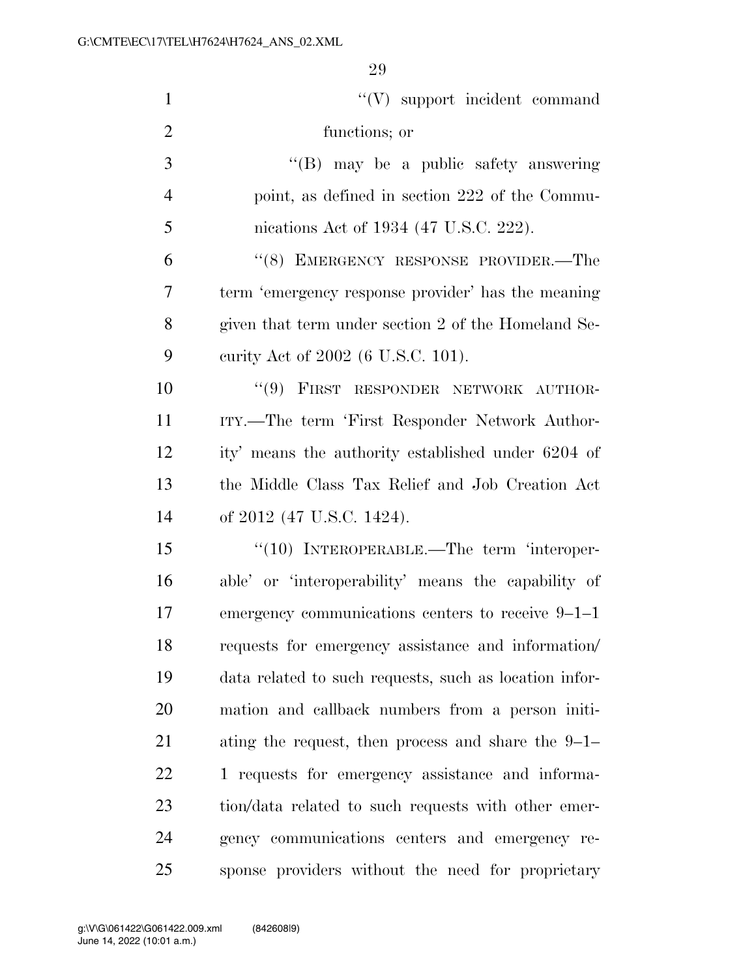| $\mathbf{1}$   | "(V) support incident command                          |
|----------------|--------------------------------------------------------|
| $\overline{2}$ | functions; or                                          |
| 3              | $\lq\lq(B)$ may be a public safety answering           |
| $\overline{4}$ | point, as defined in section 222 of the Commu-         |
| 5              | nications Act of 1934 (47 U.S.C. 222).                 |
| 6              | "(8) EMERGENCY RESPONSE PROVIDER.—The                  |
| 7              | term 'emergency response provider' has the meaning     |
| 8              | given that term under section 2 of the Homeland Se-    |
| 9              | eurity Act of 2002 (6 U.S.C. 101).                     |
| 10             | "(9) FIRST RESPONDER NETWORK AUTHOR-                   |
| 11             | ITY.—The term 'First Responder Network Author-         |
| 12             | ity' means the authority established under 6204 of     |
| 13             | the Middle Class Tax Relief and Job Creation Act       |
| 14             | of 2012 (47 U.S.C. 1424).                              |
| 15             | $\cdot$ (10) INTEROPERABLE.—The term 'interoper-       |
| 16             | able' or 'interoperability' means the capability of    |
| 17             | emergency communications centers to receive 9–1–1      |
| 18             | requests for emergency assistance and information      |
| 19             | data related to such requests, such as location infor- |
| 20             | mation and callback numbers from a person initi-       |
| 21             | ating the request, then process and share the $9-1-$   |
| 22             | 1 requests for emergency assistance and informa-       |
| 23             | tion/data related to such requests with other emer-    |
| 24             | gency communications centers and emergency re-         |
| 25             | sponse providers without the need for proprietary      |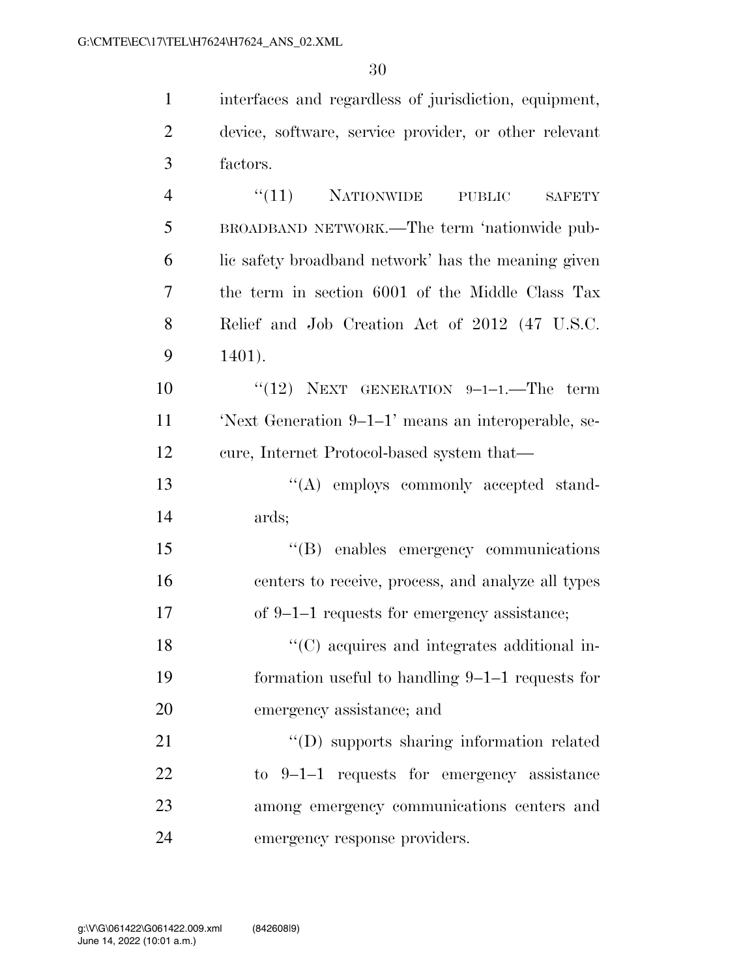interfaces and regardless of jurisdiction, equipment, device, software, service provider, or other relevant factors. 4 "(11) NATIONWIDE PUBLIC SAFETY BROADBAND NETWORK.—The term 'nationwide pub- lic safety broadband network' has the meaning given the term in section 6001 of the Middle Class Tax Relief and Job Creation Act of 2012 (47 U.S.C. 1401).  $(12)$  NEXT GENERATION 9-1-1. The term 'Next Generation 9–1–1' means an interoperable, se- cure, Internet Protocol-based system that—  $\cdot$  ''(A) employs commonly accepted stand- ards; ''(B) enables emergency communications centers to receive, process, and analyze all types of 9–1–1 requests for emergency assistance;  $\langle ^{\prime}(C) \rangle$  acquires and integrates additional in- formation useful to handling 9–1–1 requests for emergency assistance; and

21 ''(D) supports sharing information related to 9–1–1 requests for emergency assistance among emergency communications centers and emergency response providers.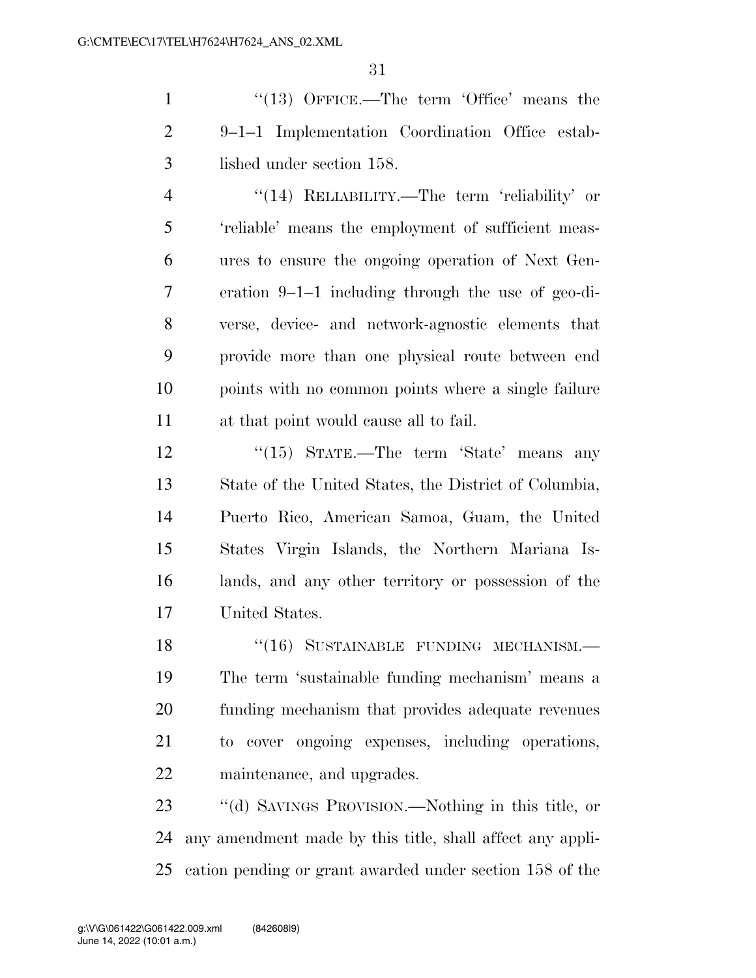1 ''(13) OFFICE.—The term 'Office' means the 9–1–1 Implementation Coordination Office estab-lished under section 158.

 ''(14) RELIABILITY.—The term 'reliability' or 'reliable' means the employment of sufficient meas- ures to ensure the ongoing operation of Next Gen- eration 9–1–1 including through the use of geo-di- verse, device- and network-agnostic elements that provide more than one physical route between end points with no common points where a single failure at that point would cause all to fail.

12 ''(15) STATE.—The term 'State' means any State of the United States, the District of Columbia, Puerto Rico, American Samoa, Guam, the United States Virgin Islands, the Northern Mariana Is- lands, and any other territory or possession of the United States.

18 "(16) SUSTAINABLE FUNDING MECHANISM. The term 'sustainable funding mechanism' means a funding mechanism that provides adequate revenues to cover ongoing expenses, including operations, maintenance, and upgrades.

 ''(d) SAVINGS PROVISION.—Nothing in this title, or any amendment made by this title, shall affect any appli-cation pending or grant awarded under section 158 of the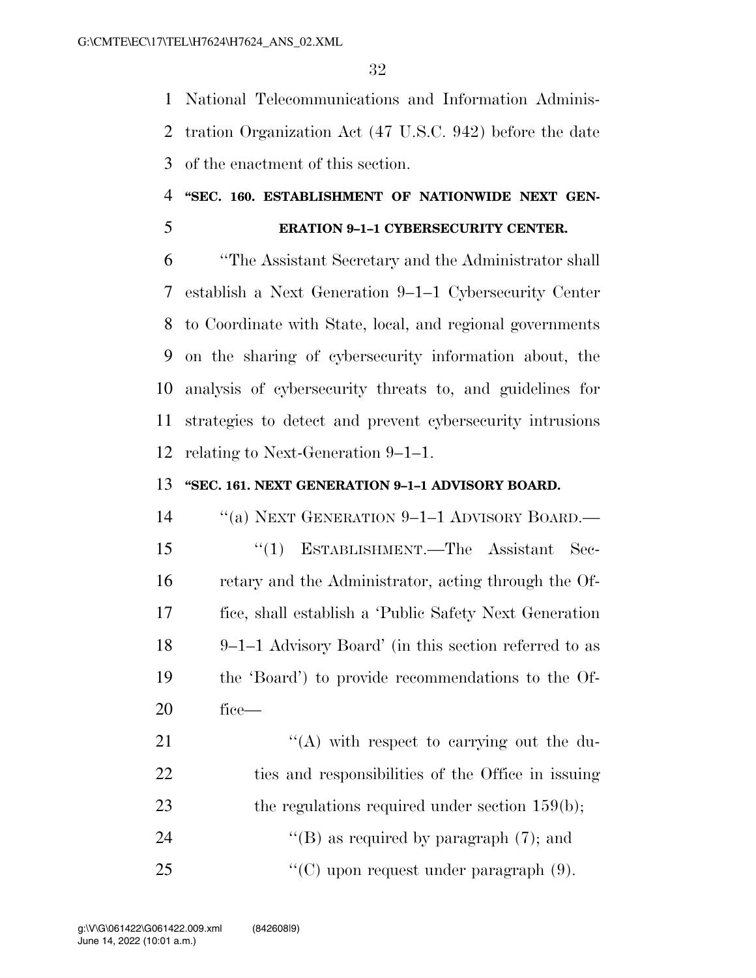National Telecommunications and Information Adminis- tration Organization Act (47 U.S.C. 942) before the date of the enactment of this section.

### **''SEC. 160. ESTABLISHMENT OF NATIONWIDE NEXT GEN-**

### **ERATION 9–1–1 CYBERSECURITY CENTER.**

 ''The Assistant Secretary and the Administrator shall establish a Next Generation 9–1–1 Cybersecurity Center to Coordinate with State, local, and regional governments on the sharing of cybersecurity information about, the analysis of cybersecurity threats to, and guidelines for strategies to detect and prevent cybersecurity intrusions relating to Next-Generation 9–1–1.

### **''SEC. 161. NEXT GENERATION 9–1–1 ADVISORY BOARD.**

 ''(a) NEXT GENERATION 9–1–1 ADVISORY BOARD.— ''(1) ESTABLISHMENT.—The Assistant Sec- retary and the Administrator, acting through the Of- fice, shall establish a 'Public Safety Next Generation 9–1–1 Advisory Board' (in this section referred to as the 'Board') to provide recommendations to the Of-fice—

21 ''(A) with respect to carrying out the du- ties and responsibilities of the Office in issuing 23 the regulations required under section 159(b); 24  $\text{``(B)}$  as required by paragraph  $(7)$ ; and ''(C) upon request under paragraph (9).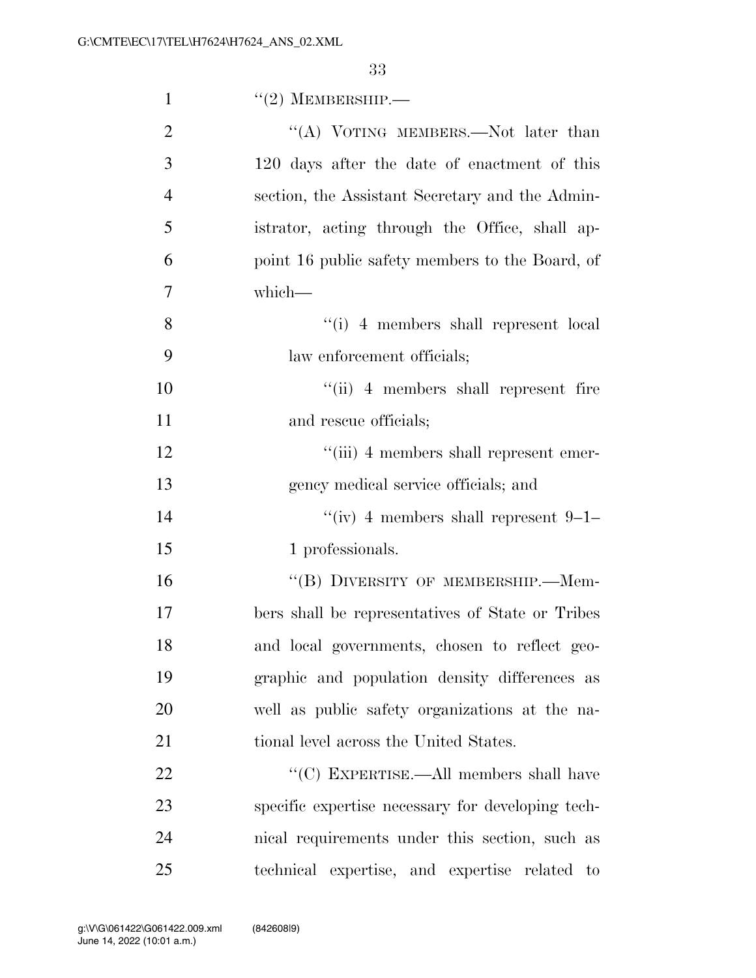| $\mathbf{1}$   | $``(2)$ MEMBERSHIP.—                              |
|----------------|---------------------------------------------------|
| $\overline{2}$ | "(A) VOTING MEMBERS.—Not later than               |
| 3              | 120 days after the date of enactment of this      |
| $\overline{4}$ | section, the Assistant Secretary and the Admin-   |
| 5              | istrator, acting through the Office, shall ap-    |
| 6              | point 16 public safety members to the Board, of   |
| 7              | which-                                            |
| 8              | "(i) 4 members shall represent local              |
| 9              | law enforcement officials;                        |
| 10             | "(ii) 4 members shall represent fire              |
| 11             | and rescue officials;                             |
| 12             | "(iii) 4 members shall represent emer-            |
| 13             | gency medical service officials; and              |
| 14             | "(iv) 4 members shall represent $9-1-$            |
| 15             | 1 professionals.                                  |
| 16             | "(B) DIVERSITY OF MEMBERSHIP.—Mem-                |
| 17             | bers shall be representatives of State or Tribes  |
| 18             | and local governments, chosen to reflect geo-     |
| 19             | graphic and population density differences as     |
| 20             | well as public safety organizations at the na-    |
| 21             | tional level across the United States.            |
| 22             | "(C) EXPERTISE.—All members shall have            |
| 23             | specific expertise necessary for developing tech- |
| 24             | nical requirements under this section, such as    |
| 25             | technical expertise, and expertise related to     |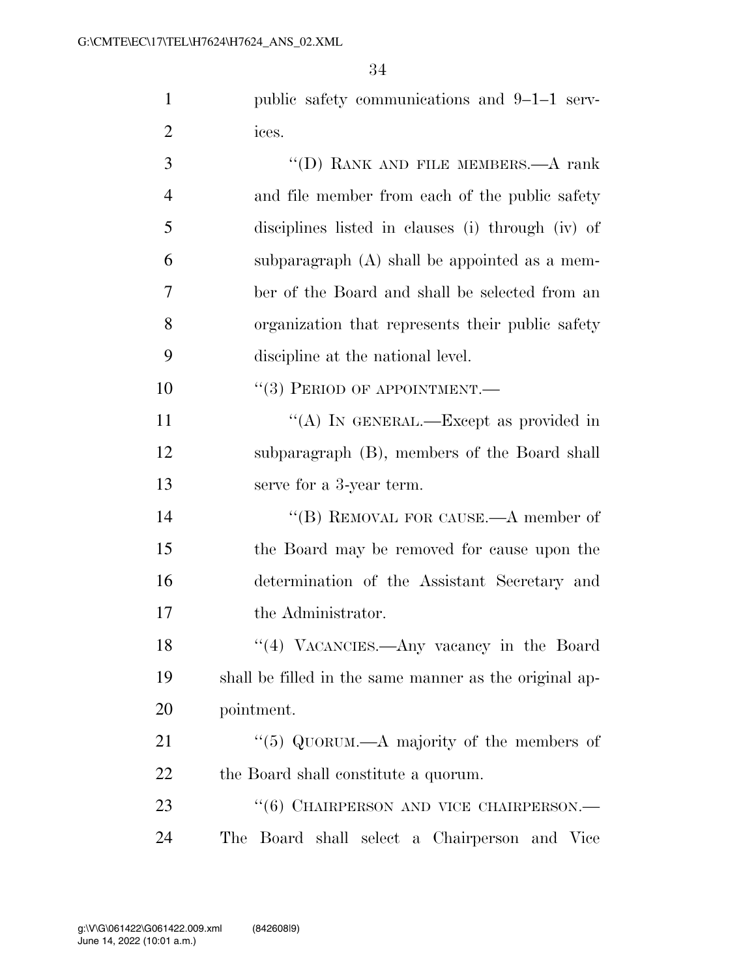public safety communications and 9–1–1 serv-ices.

| 3              | "(D) RANK AND FILE MEMBERS.—A rank                     |
|----------------|--------------------------------------------------------|
| $\overline{4}$ | and file member from each of the public safety         |
| 5              | disciplines listed in clauses (i) through (iv) of      |
| 6              | subparagraph $(A)$ shall be appointed as a mem-        |
| 7              | ber of the Board and shall be selected from an         |
| 8              | organization that represents their public safety       |
| 9              | discipline at the national level.                      |
| 10             | $``(3)$ PERIOD OF APPOINTMENT.—                        |
| 11             | "(A) IN GENERAL.—Except as provided in                 |
| 12             | subparagraph (B), members of the Board shall           |
| 13             | serve for a 3-year term.                               |
| 14             | "(B) REMOVAL FOR CAUSE.—A member of                    |
| 15             | the Board may be removed for cause upon the            |
| 16             | determination of the Assistant Secretary and           |
| 17             | the Administrator.                                     |
| 18             | "(4) VACANCIES.—Any vacancy in the Board               |
| 19             | shall be filled in the same manner as the original ap- |
| 20             | pointment.                                             |
| 21             | "(5) QUORUM.—A majority of the members of              |
| 22             | the Board shall constitute a quorum.                   |
| 23             | "(6) CHAIRPERSON AND VICE CHAIRPERSON.—                |
| 24             | The Board shall select a Chairperson and Vice          |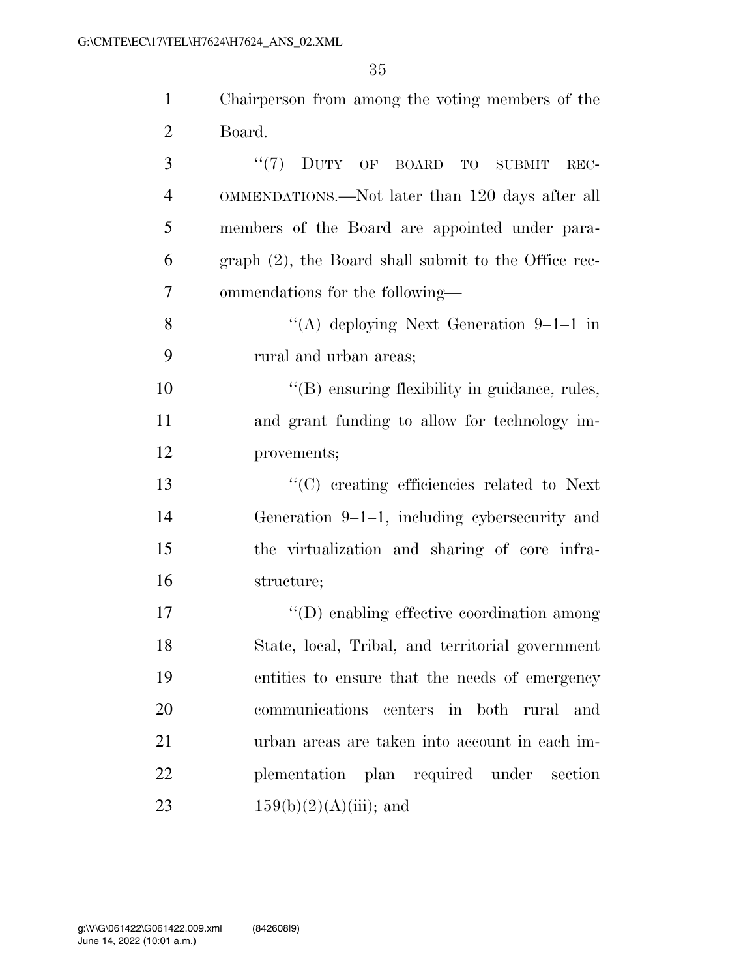| $\mathbf{1}$   | Chairperson from among the voting members of the     |
|----------------|------------------------------------------------------|
| $\overline{2}$ | Board.                                               |
| 3              | "(7) DUTY OF BOARD TO SUBMIT<br>REC-                 |
| $\overline{4}$ | OMMENDATIONS.—Not later than 120 days after all      |
| 5              | members of the Board are appointed under para-       |
| 6              | graph (2), the Board shall submit to the Office rec- |
| 7              | ommendations for the following—                      |
| 8              | "(A) deploying Next Generation $9-1-1$ in            |
| 9              | rural and urban areas;                               |
| 10             | $\lq\lq(B)$ ensuring flexibility in guidance, rules, |
| 11             | and grant funding to allow for technology im-        |
| 12             | provements;                                          |
| 13             | $\cdot$ (C) creating efficiencies related to Next    |
| 14             | Generation $9-1-1$ , including cybers ecurity and    |
| 15             | the virtualization and sharing of core infra-        |
| 16             | structure;                                           |
| 17             | $\lq\lq$ enabling effective coordination among       |
| 18             | State, local, Tribal, and territorial government     |
| 19             | entities to ensure that the needs of emergency       |
| 20             | communications centers in both rural and             |
| 21             | urban areas are taken into account in each im-       |
| 22             | plementation plan required under section             |
| 23             | $159(b)(2)(A)(iii)$ ; and                            |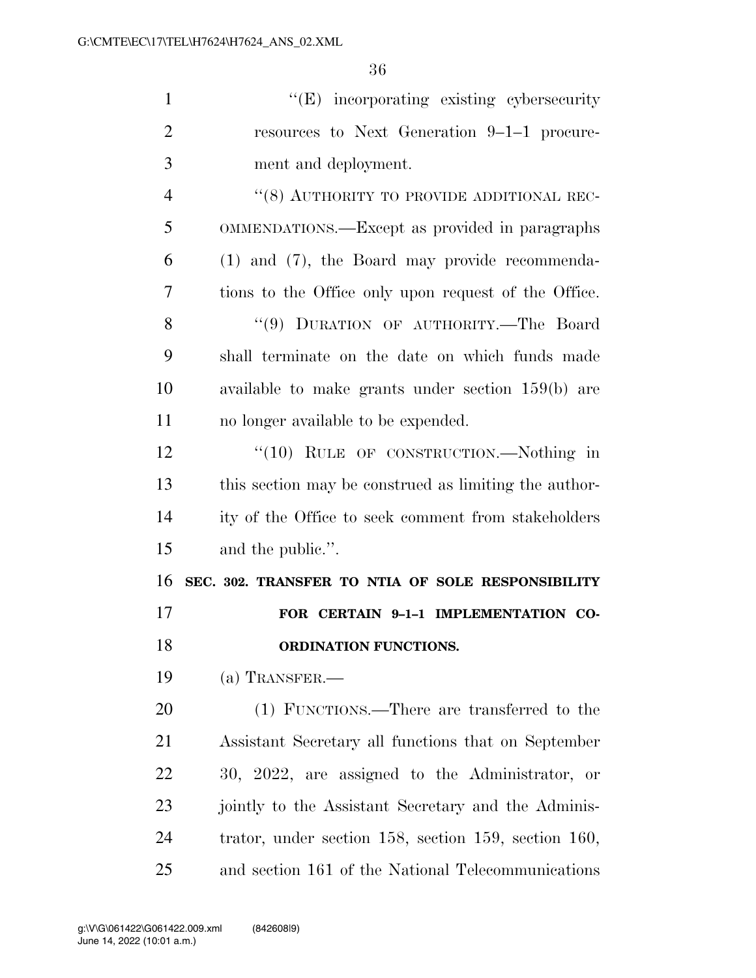| $\mathbf{1}$   | "(E) incorporating existing cybersecurity                     |
|----------------|---------------------------------------------------------------|
| $\overline{2}$ | resources to Next Generation 9-1-1 procure-                   |
| 3              | ment and deployment.                                          |
| $\overline{4}$ | "(8) AUTHORITY TO PROVIDE ADDITIONAL REC-                     |
| 5              | OMMENDATIONS.—Except as provided in paragraphs                |
| 6              | $(1)$ and $(7)$ , the Board may provide recommenda-           |
| 7              | tions to the Office only upon request of the Office.          |
| 8              | "(9) DURATION OF AUTHORITY.-The Board                         |
| 9              | shall terminate on the date on which funds made               |
| 10             | available to make grants under section $159(b)$ are           |
| 11             | no longer available to be expended.                           |
| 12             | "(10) RULE OF CONSTRUCTION.—Nothing in                        |
| 13             | this section may be construed as limiting the author-         |
| 14             | ity of the Office to seek comment from stakeholders           |
| 15             | and the public.".                                             |
| 16             | SEC. 302. TRANSFER TO NTIA OF SOLE RESPONSIBILITY             |
| 17             | FOR CERTAIN 9-1-1 IMPLEMENTATION CO-                          |
| 18             | ORDINATION FUNCTIONS.                                         |
| 19             | $(a)$ TRANSFER.—                                              |
| 20             | (1) FUNCTIONS.—There are transferred to the                   |
| 21             | Assistant Secretary all functions that on September           |
| 22             | 30, 2022, are assigned to the Administrator, or               |
| 23             |                                                               |
|                | jointly to the Assistant Secretary and the Adminis-           |
| 24             | trator, under section $158$ , section $159$ , section $160$ , |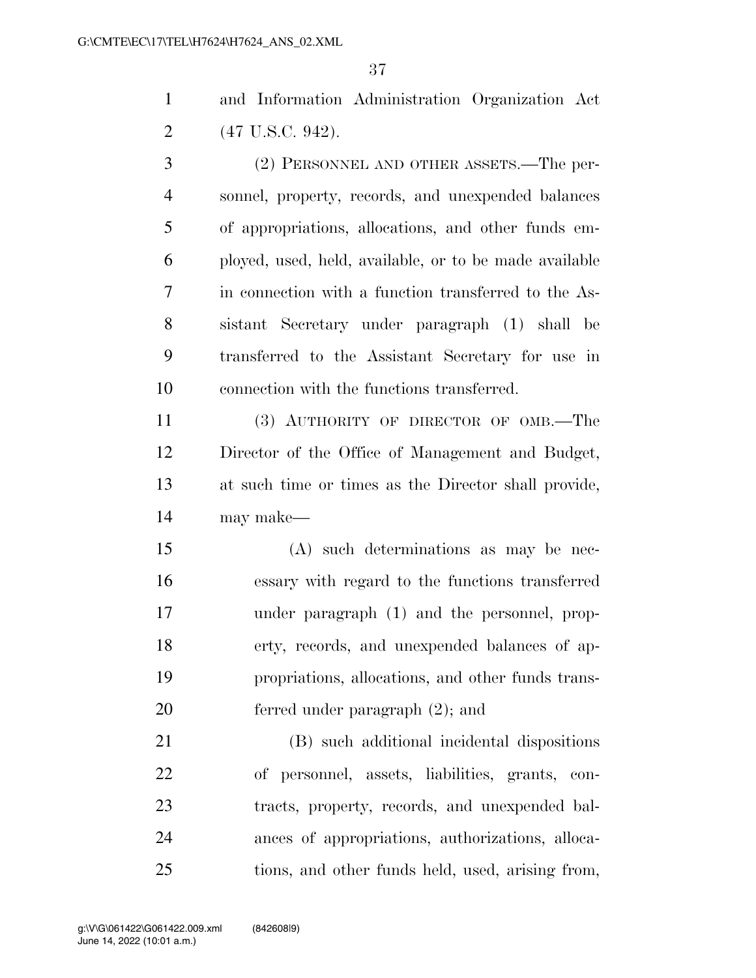and Information Administration Organization Act (47 U.S.C. 942).

 (2) PERSONNEL AND OTHER ASSETS.—The per- sonnel, property, records, and unexpended balances of appropriations, allocations, and other funds em- ployed, used, held, available, or to be made available in connection with a function transferred to the As- sistant Secretary under paragraph (1) shall be transferred to the Assistant Secretary for use in connection with the functions transferred.

 (3) AUTHORITY OF DIRECTOR OF OMB.—The Director of the Office of Management and Budget, at such time or times as the Director shall provide, may make—

 (A) such determinations as may be nec- essary with regard to the functions transferred under paragraph (1) and the personnel, prop- erty, records, and unexpended balances of ap- propriations, allocations, and other funds trans-ferred under paragraph (2); and

 (B) such additional incidental dispositions of personnel, assets, liabilities, grants, con- tracts, property, records, and unexpended bal- ances of appropriations, authorizations, alloca-tions, and other funds held, used, arising from,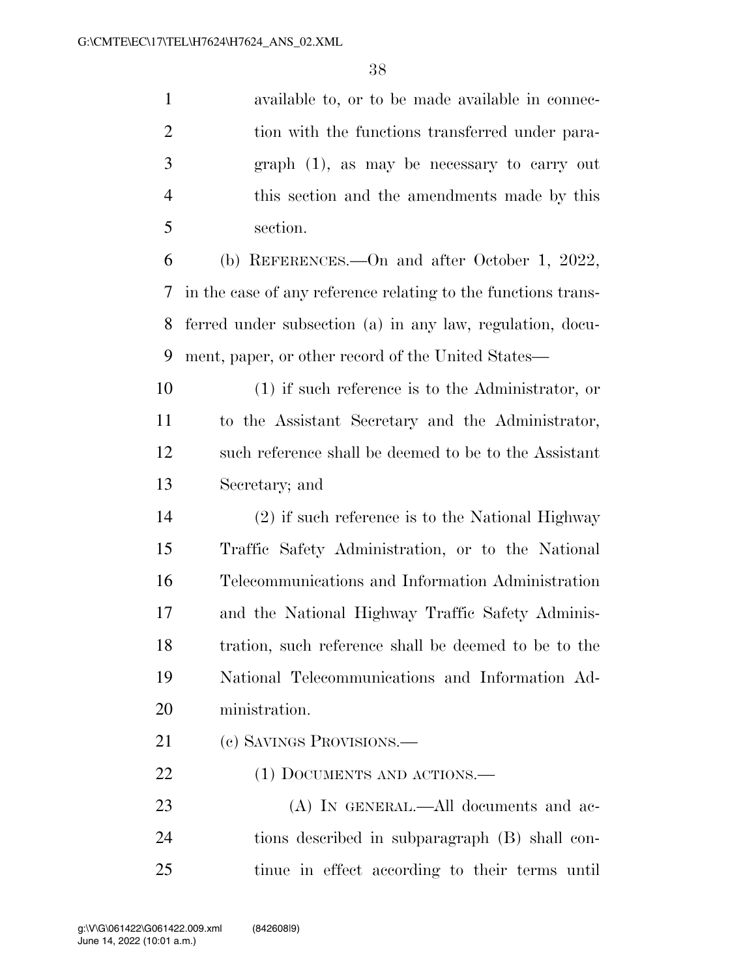| $\mathbf{1}$   | available to, or to be made available in connec-              |
|----------------|---------------------------------------------------------------|
| $\overline{2}$ | tion with the functions transferred under para-               |
| 3              | $graph(1)$ , as may be necessary to carry out                 |
| $\overline{4}$ | this section and the amendments made by this                  |
| 5              | section.                                                      |
| 6              | (b) REFERENCES.—On and after October 1, 2022,                 |
| 7              | in the case of any reference relating to the functions trans- |
| 8              | ferred under subsection (a) in any law, regulation, docu-     |
| 9              | ment, paper, or other record of the United States—            |
| 10             | $(1)$ if such reference is to the Administrator, or           |
| 11             | to the Assistant Secretary and the Administrator,             |
| 12             | such reference shall be deemed to be to the Assistant         |
| 13             | Secretary; and                                                |
| 14             | (2) if such reference is to the National Highway              |
| 15             | Traffic Safety Administration, or to the National             |
| 16             | Telecommunications and Information Administration             |
| 17             | and the National Highway Traffic Safety Adminis-              |
| 18             | tration, such reference shall be deemed to be to the          |
| 19             | National Telecommunications and Information Ad-               |
| 20             | ministration.                                                 |
| 21             | (c) SAVINGS PROVISIONS.—                                      |
| 22             | (1) DOCUMENTS AND ACTIONS.—                                   |
| 23             | (A) IN GENERAL.—All documents and ac-                         |
| 24             | tions described in subparagraph (B) shall con-                |

tinue in effect according to their terms until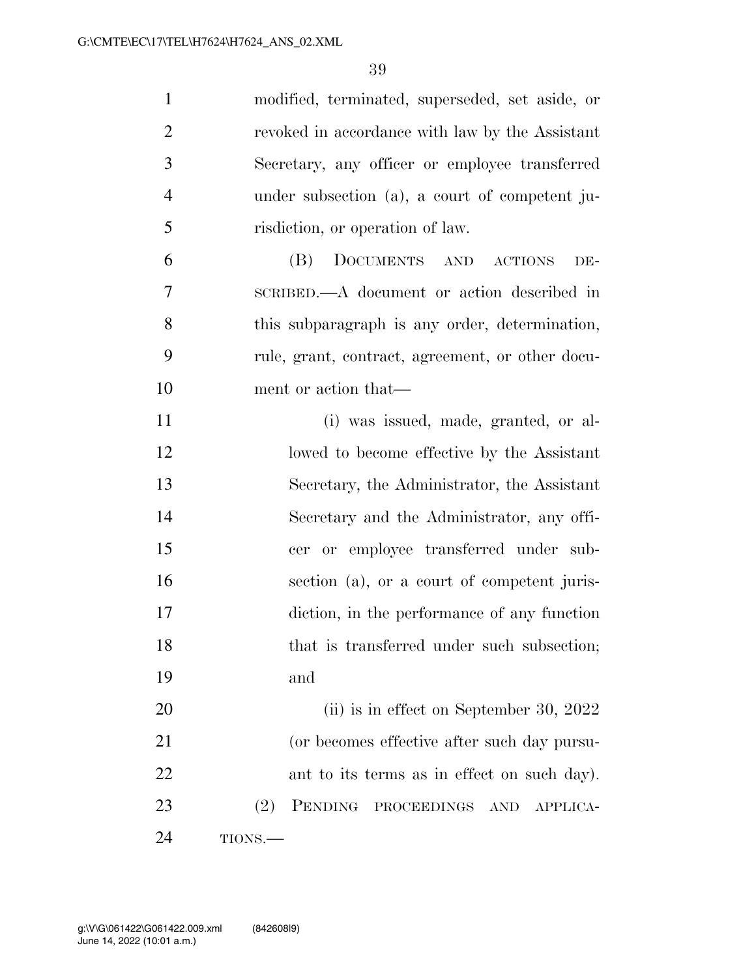| $\mathbf{1}$   | modified, terminated, superseded, set aside, or         |
|----------------|---------------------------------------------------------|
| $\overline{2}$ | revoked in accordance with law by the Assistant         |
| 3              | Secretary, any officer or employee transferred          |
| $\overline{4}$ | under subsection (a), a court of competent ju-          |
| 5              | risdiction, or operation of law.                        |
| 6              | DOCUMENTS AND ACTIONS<br>(B)<br>DE-                     |
| 7              | SCRIBED.—A document or action described in              |
| 8              | this subparagraph is any order, determination,          |
| 9              | rule, grant, contract, agreement, or other docu-        |
| 10             | ment or action that—                                    |
| 11             | (i) was issued, made, granted, or al-                   |
| 12             | lowed to become effective by the Assistant              |
| 13             | Secretary, the Administrator, the Assistant             |
| 14             | Secretary and the Administrator, any offi-              |
| 15             | cer or employee transferred under sub-                  |
| 16             | section (a), or a court of competent juris-             |
| 17             | diction, in the performance of any function             |
| 18             | that is transferred under such subsection;              |
| 19             | and                                                     |
| 20             | (ii) is in effect on September 30, 2022                 |
| 21             | (or becomes effective after such day pursu-             |
| 22             | ant to its terms as in effect on such day).             |
| 23             | (2)<br>PENDING<br>PROCEEDINGS<br><b>AND</b><br>APPLICA- |
| 24             | TIONS.                                                  |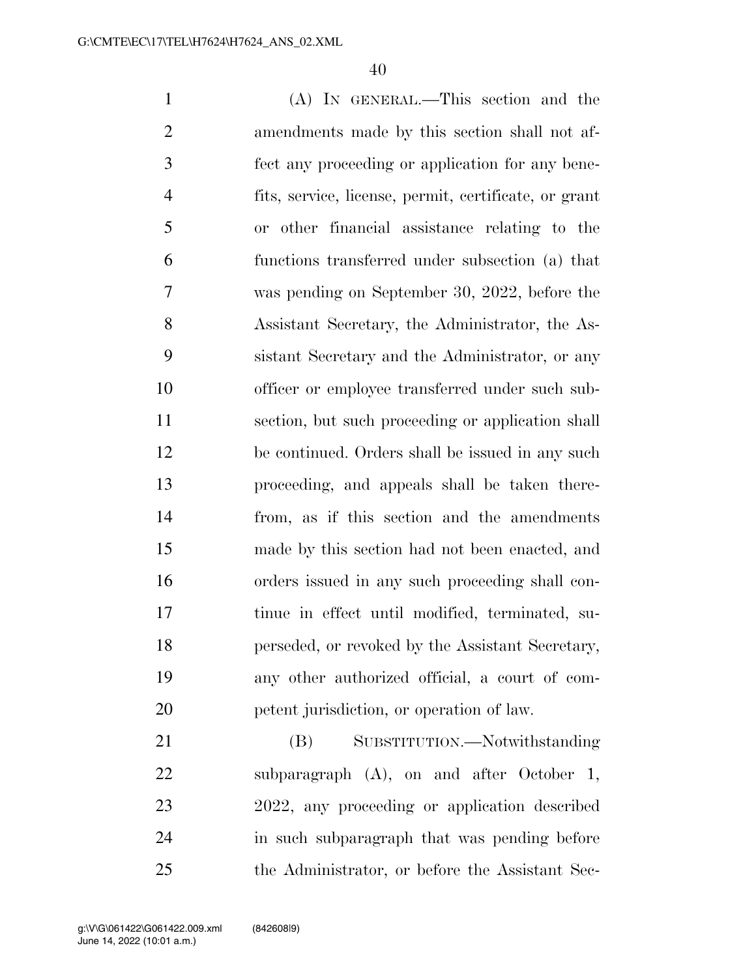(A) IN GENERAL.—This section and the amendments made by this section shall not af- fect any proceeding or application for any bene- fits, service, license, permit, certificate, or grant or other financial assistance relating to the functions transferred under subsection (a) that was pending on September 30, 2022, before the Assistant Secretary, the Administrator, the As- sistant Secretary and the Administrator, or any officer or employee transferred under such sub- section, but such proceeding or application shall be continued. Orders shall be issued in any such proceeding, and appeals shall be taken there- from, as if this section and the amendments made by this section had not been enacted, and orders issued in any such proceeding shall con- tinue in effect until modified, terminated, su- perseded, or revoked by the Assistant Secretary, any other authorized official, a court of com-petent jurisdiction, or operation of law.

21 (B) SUBSTITUTION.—Notwithstanding subparagraph (A), on and after October 1, 2022, any proceeding or application described in such subparagraph that was pending before the Administrator, or before the Assistant Sec-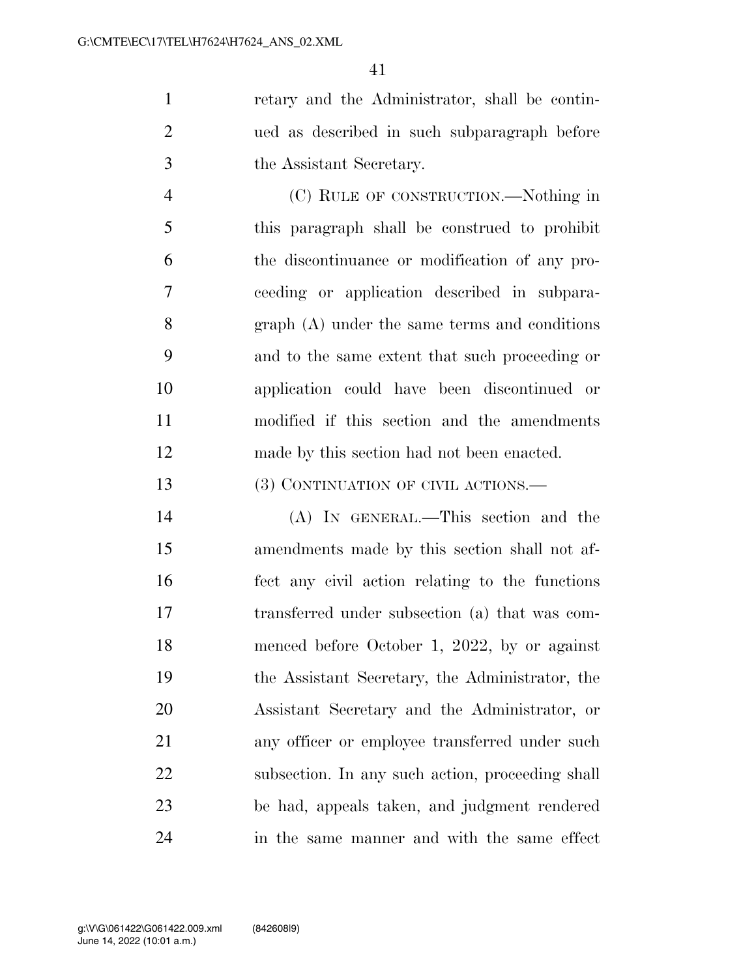retary and the Administrator, shall be contin- ued as described in such subparagraph before the Assistant Secretary.

 (C) RULE OF CONSTRUCTION.—Nothing in this paragraph shall be construed to prohibit the discontinuance or modification of any pro- ceeding or application described in subpara- graph (A) under the same terms and conditions and to the same extent that such proceeding or application could have been discontinued or modified if this section and the amendments made by this section had not been enacted.

13 (3) CONTINUATION OF CIVIL ACTIONS.—

 (A) IN GENERAL.—This section and the amendments made by this section shall not af- fect any civil action relating to the functions transferred under subsection (a) that was com- menced before October 1, 2022, by or against the Assistant Secretary, the Administrator, the Assistant Secretary and the Administrator, or 21 any officer or employee transferred under such subsection. In any such action, proceeding shall be had, appeals taken, and judgment rendered in the same manner and with the same effect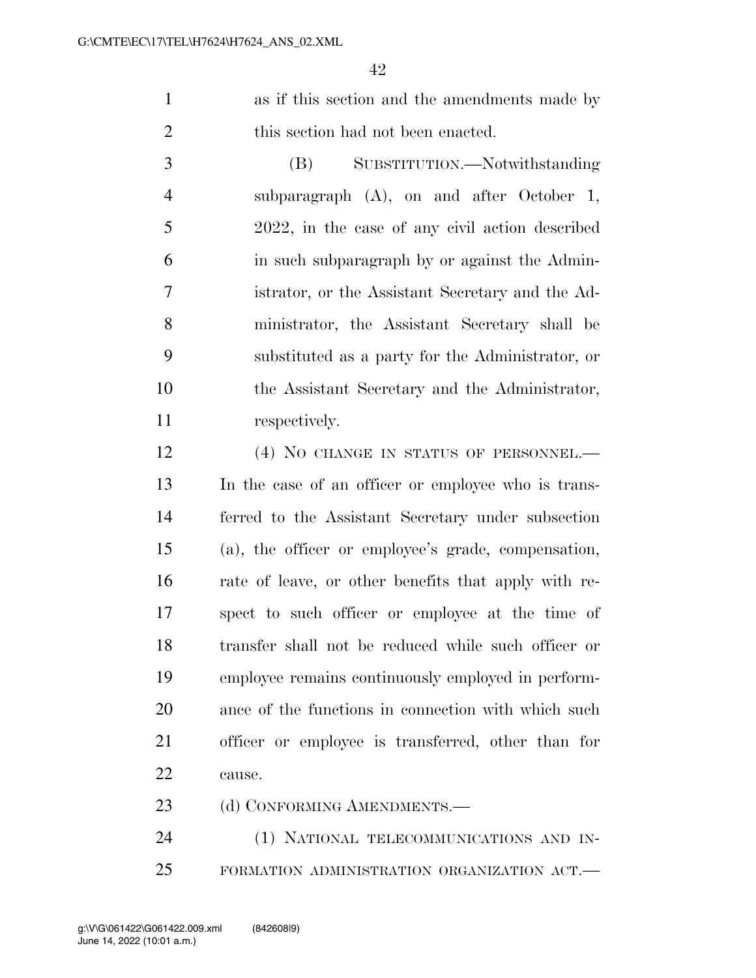as if this section and the amendments made by 2 this section had not been enacted.

 (B) SUBSTITUTION.—Notwithstanding subparagraph (A), on and after October 1, 2022, in the case of any civil action described in such subparagraph by or against the Admin- istrator, or the Assistant Secretary and the Ad- ministrator, the Assistant Secretary shall be substituted as a party for the Administrator, or the Assistant Secretary and the Administrator, 11 respectively.

12 (4) NO CHANGE IN STATUS OF PERSONNEL.— In the case of an officer or employee who is trans- ferred to the Assistant Secretary under subsection (a), the officer or employee's grade, compensation, rate of leave, or other benefits that apply with re- spect to such officer or employee at the time of transfer shall not be reduced while such officer or employee remains continuously employed in perform- ance of the functions in connection with which such officer or employee is transferred, other than for cause.

23 (d) CONFORMING AMENDMENTS.—

24 (1) NATIONAL TELECOMMUNICATIONS AND IN-FORMATION ADMINISTRATION ORGANIZATION ACT.—